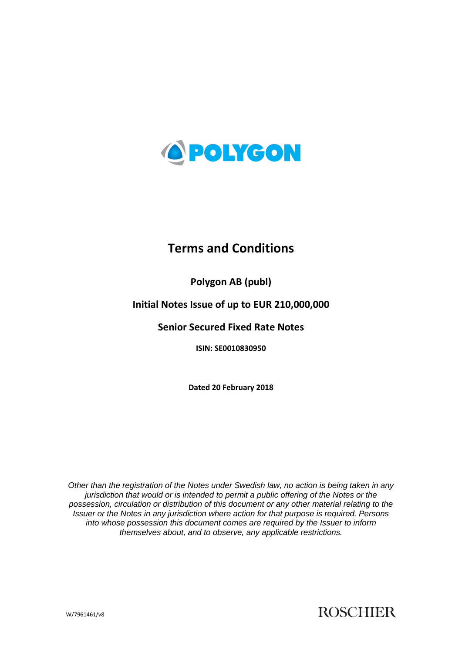

# **Terms and Conditions**

# **Polygon AB (publ)**

# **Initial Notes Issue of up to EUR 210,000,000**

# **Senior Secured Fixed Rate Notes**

**ISIN: SE0010830950**

**Dated 20 February 2018**

*Other than the registration of the Notes under Swedish law, no action is being taken in any jurisdiction that would or is intended to permit a public offering of the Notes or the possession, circulation or distribution of this document or any other material relating to the Issuer or the Notes in any jurisdiction where action for that purpose is required. Persons into whose possession this document comes are required by the Issuer to inform themselves about, and to observe, any applicable restrictions.*

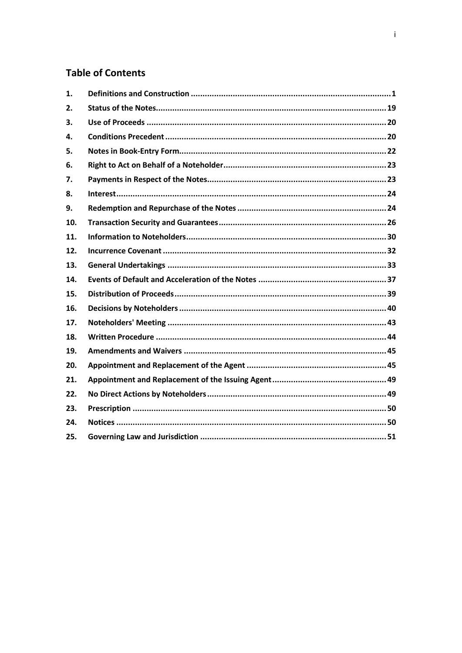# **Table of Contents**

| 1.  |  |
|-----|--|
| 2.  |  |
| 3.  |  |
| 4.  |  |
| 5.  |  |
| 6.  |  |
| 7.  |  |
| 8.  |  |
| 9.  |  |
| 10. |  |
| 11. |  |
| 12. |  |
| 13. |  |
| 14. |  |
| 15. |  |
| 16. |  |
| 17. |  |
| 18. |  |
| 19. |  |
| 20. |  |
| 21. |  |
| 22. |  |
| 23. |  |
| 24. |  |
| 25. |  |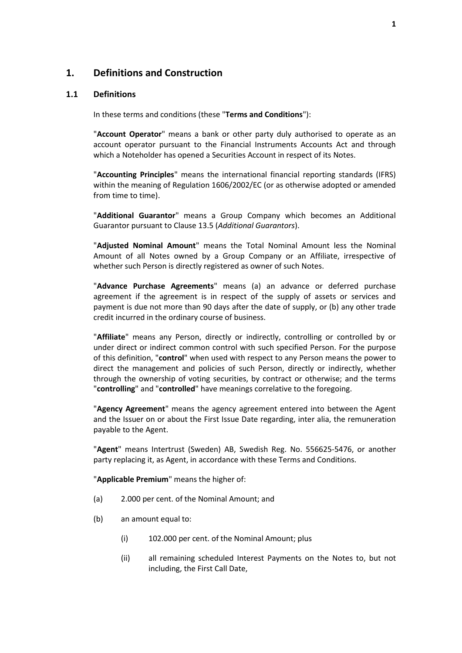# <span id="page-2-0"></span>**1. Definitions and Construction**

#### **1.1 Definitions**

In these terms and conditions (these "**Terms and Conditions**"):

"**Account Operator**" means a bank or other party duly authorised to operate as an account operator pursuant to the Financial Instruments Accounts Act and through which a Noteholder has opened a Securities Account in respect of its Notes.

"**Accounting Principles**" means the international financial reporting standards (IFRS) within the meaning of Regulation 1606/2002/EC (or as otherwise adopted or amended from time to time).

"**Additional Guarantor**" means a Group Company which becomes an Additional Guarantor pursuant to Claus[e 13.5](#page-35-0) (*[Additional Guarantors](#page-35-0)*).

"**Adjusted Nominal Amount**" means the Total Nominal Amount less the Nominal Amount of all Notes owned by a Group Company or an Affiliate, irrespective of whether such Person is directly registered as owner of such Notes.

"**Advance Purchase Agreements**" means (a) an advance or deferred purchase agreement if the agreement is in respect of the supply of assets or services and payment is due not more than 90 days after the date of supply, or (b) any other trade credit incurred in the ordinary course of business.

"**Affiliate**" means any Person, directly or indirectly, controlling or controlled by or under direct or indirect common control with such specified Person. For the purpose of this definition, "**control**" when used with respect to any Person means the power to direct the management and policies of such Person, directly or indirectly, whether through the ownership of voting securities, by contract or otherwise; and the terms "**controlling**" and "**controlled**" have meanings correlative to the foregoing.

"**Agency Agreement**" means the agency agreement entered into between the Agent and the Issuer on or about the First Issue Date regarding, inter alia, the remuneration payable to the Agent.

"**Agent**" means Intertrust (Sweden) AB, Swedish Reg. No. 556625-5476, or another party replacing it, as Agent, in accordance with these Terms and Conditions.

"**Applicable Premium**" means the higher of:

- (a) 2.000 per cent. of the Nominal Amount; and
- (b) an amount equal to:
	- (i) 102.000 per cent. of the Nominal Amount; plus
	- (ii) all remaining scheduled Interest Payments on the Notes to, but not including, the First Call Date,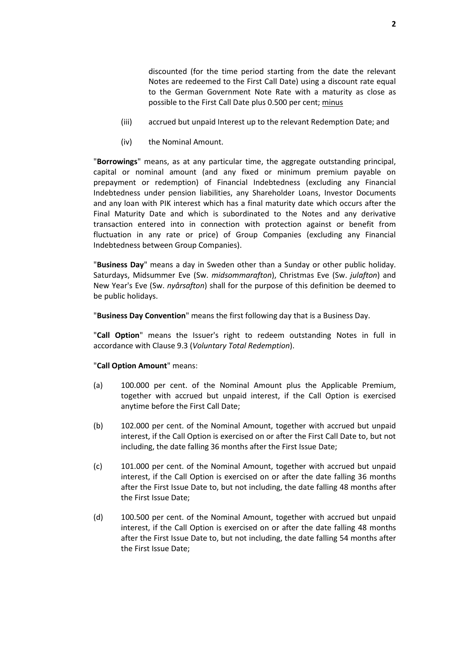discounted (for the time period starting from the date the relevant Notes are redeemed to the First Call Date) using a discount rate equal to the German Government Note Rate with a maturity as close as possible to the First Call Date plus 0.500 per cent; minus

- (iii) accrued but unpaid Interest up to the relevant Redemption Date; and
- (iv) the Nominal Amount.

"**Borrowings**" means, as at any particular time, the aggregate outstanding principal, capital or nominal amount (and any fixed or minimum premium payable on prepayment or redemption) of Financial Indebtedness (excluding any Financial Indebtedness under pension liabilities, any Shareholder Loans, Investor Documents and any loan with PIK interest which has a final maturity date which occurs after the Final Maturity Date and which is subordinated to the Notes and any derivative transaction entered into in connection with protection against or benefit from fluctuation in any rate or price) of Group Companies (excluding any Financial Indebtedness between Group Companies).

"**Business Day**" means a day in Sweden other than a Sunday or other public holiday. Saturdays, Midsummer Eve (Sw. *midsommarafton*), Christmas Eve (Sw. *julafton*) and New Year's Eve (Sw. *nyårsafton*) shall for the purpose of this definition be deemed to be public holidays.

"**Business Day Convention**" means the first following day that is a Business Day.

"**Call Option**" means the Issuer's right to redeem outstanding Notes in full in accordance with Clause [9.3](#page-25-2) (*[Voluntary Total Redemption](#page-25-2)*).

#### "**Call Option Amount**" means:

- (a) 100.000 per cent. of the Nominal Amount plus the Applicable Premium, together with accrued but unpaid interest, if the Call Option is exercised anytime before the First Call Date;
- (b) 102.000 per cent. of the Nominal Amount, together with accrued but unpaid interest, if the Call Option is exercised on or after the First Call Date to, but not including, the date falling 36 months after the First Issue Date;
- (c) 101.000 per cent. of the Nominal Amount, together with accrued but unpaid interest, if the Call Option is exercised on or after the date falling 36 months after the First Issue Date to, but not including, the date falling 48 months after the First Issue Date;
- (d) 100.500 per cent. of the Nominal Amount, together with accrued but unpaid interest, if the Call Option is exercised on or after the date falling 48 months after the First Issue Date to, but not including, the date falling 54 months after the First Issue Date;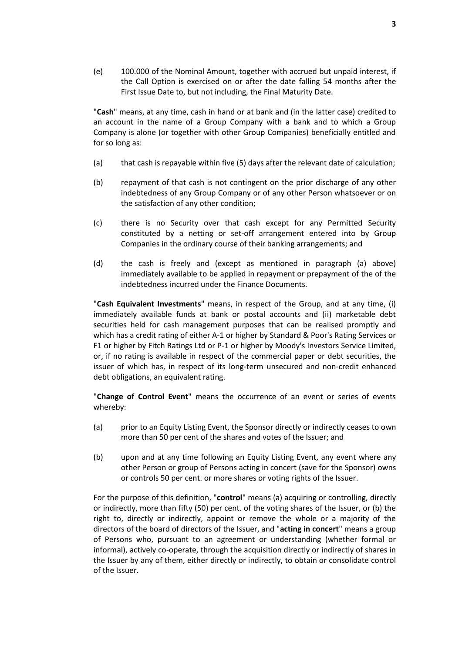(e) 100.000 of the Nominal Amount, together with accrued but unpaid interest, if the Call Option is exercised on or after the date falling 54 months after the First Issue Date to, but not including, the Final Maturity Date.

"**Cash**" means, at any time, cash in hand or at bank and (in the latter case) credited to an account in the name of a Group Company with a bank and to which a Group Company is alone (or together with other Group Companies) beneficially entitled and for so long as:

- (a) that cash is repayable within five (5) days after the relevant date of calculation;
- (b) repayment of that cash is not contingent on the prior discharge of any other indebtedness of any Group Company or of any other Person whatsoever or on the satisfaction of any other condition;
- (c) there is no Security over that cash except for any Permitted Security constituted by a netting or set-off arrangement entered into by Group Companies in the ordinary course of their banking arrangements; and
- (d) the cash is freely and (except as mentioned in paragraph (a) above) immediately available to be applied in repayment or prepayment of the of the indebtedness incurred under the Finance Documents.

"**Cash Equivalent Investments**" means, in respect of the Group, and at any time, (i) immediately available funds at bank or postal accounts and (ii) marketable debt securities held for cash management purposes that can be realised promptly and which has a credit rating of either A-1 or higher by Standard & Poor's Rating Services or F1 or higher by Fitch Ratings Ltd or P-1 or higher by Moody's Investors Service Limited, or, if no rating is available in respect of the commercial paper or debt securities, the issuer of which has, in respect of its long-term unsecured and non-credit enhanced debt obligations, an equivalent rating.

"**Change of Control Event**" means the occurrence of an event or series of events whereby:

- (a) prior to an Equity Listing Event, the Sponsor directly or indirectly ceases to own more than 50 per cent of the shares and votes of the Issuer; and
- (b) upon and at any time following an Equity Listing Event, any event where any other Person or group of Persons acting in concert (save for the Sponsor) owns or controls 50 per cent. or more shares or voting rights of the Issuer.

For the purpose of this definition, "**control**" means (a) acquiring or controlling, directly or indirectly, more than fifty (50) per cent. of the voting shares of the Issuer, or (b) the right to, directly or indirectly, appoint or remove the whole or a majority of the directors of the board of directors of the Issuer, and "**acting in concert**" means a group of Persons who, pursuant to an agreement or understanding (whether formal or informal), actively co-operate, through the acquisition directly or indirectly of shares in the Issuer by any of them, either directly or indirectly, to obtain or consolidate control of the Issuer.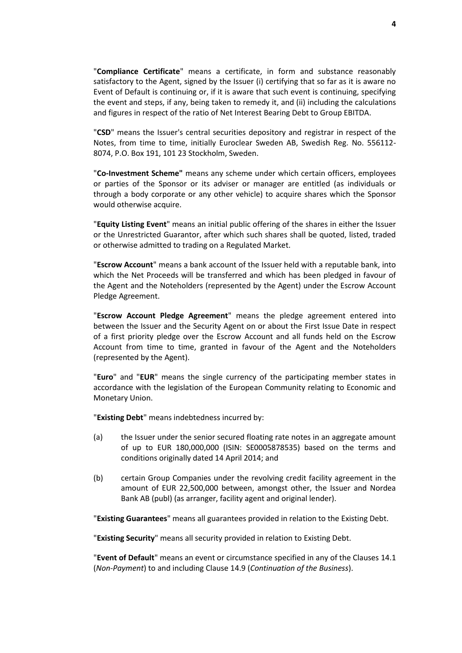"**Compliance Certificate**" means a certificate, in form and substance reasonably satisfactory to the Agent, signed by the Issuer (i) certifying that so far as it is aware no Event of Default is continuing or, if it is aware that such event is continuing, specifying the event and steps, if any, being taken to remedy it, and (ii) including the calculations and figures in respect of the ratio of Net Interest Bearing Debt to Group EBITDA.

"**CSD**" means the Issuer's central securities depository and registrar in respect of the Notes, from time to time, initially Euroclear Sweden AB, Swedish Reg. No. 556112- 8074, P.O. Box 191, 101 23 Stockholm, Sweden.

"**Co-Investment Scheme"** means any scheme under which certain officers, employees or parties of the Sponsor or its adviser or manager are entitled (as individuals or through a body corporate or any other vehicle) to acquire shares which the Sponsor would otherwise acquire.

"**Equity Listing Event**" means an initial public offering of the shares in either the Issuer or the Unrestricted Guarantor, after which such shares shall be quoted, listed, traded or otherwise admitted to trading on a Regulated Market.

"**Escrow Account**" means a bank account of the Issuer held with a reputable bank, into which the Net Proceeds will be transferred and which has been pledged in favour of the Agent and the Noteholders (represented by the Agent) under the Escrow Account Pledge Agreement.

"**Escrow Account Pledge Agreement**" means the pledge agreement entered into between the Issuer and the Security Agent on or about the First Issue Date in respect of a first priority pledge over the Escrow Account and all funds held on the Escrow Account from time to time, granted in favour of the Agent and the Noteholders (represented by the Agent).

"**Euro**" and "**EUR**" means the single currency of the participating member states in accordance with the legislation of the European Community relating to Economic and Monetary Union.

"**Existing Debt**" means indebtedness incurred by:

- (a) the Issuer under the senior secured floating rate notes in an aggregate amount of up to EUR 180,000,000 (ISIN: SE0005878535) based on the terms and conditions originally dated 14 April 2014; and
- (b) certain Group Companies under the revolving credit facility agreement in the amount of EUR 22,500,000 between, amongst other, the Issuer and Nordea Bank AB (publ) (as arranger, facility agent and original lender).

"**Existing Guarantees**" means all guarantees provided in relation to the Existing Debt.

"**Existing Security**" means all security provided in relation to Existing Debt.

"**Event of Default**" means an event or circumstance specified in any of the Clauses [14.1](#page-38-1) (*[Non-Payment](#page-38-1)*) to and including Clause [14.9](#page-39-0) (*[Continuation of the Business](#page-39-0)*).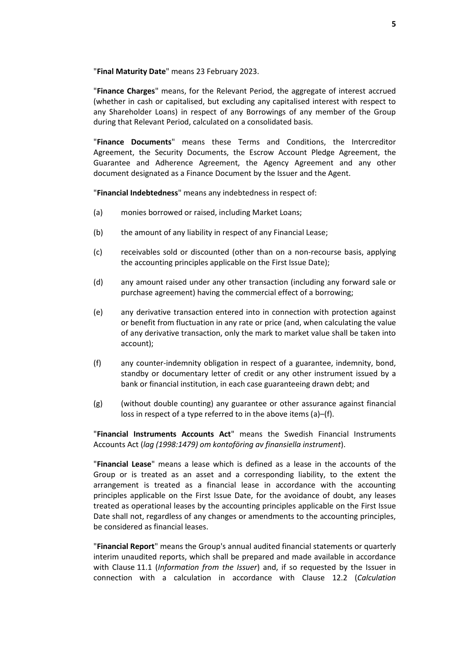"**Final Maturity Date**" means 23 February 2023.

"**Finance Charges**" means, for the Relevant Period, the aggregate of interest accrued (whether in cash or capitalised, but excluding any capitalised interest with respect to any Shareholder Loans) in respect of any Borrowings of any member of the Group during that Relevant Period, calculated on a consolidated basis.

"**Finance Documents**" means these Terms and Conditions, the Intercreditor Agreement, the Security Documents, the Escrow Account Pledge Agreement, the Guarantee and Adherence Agreement, the Agency Agreement and any other document designated as a Finance Document by the Issuer and the Agent.

"**Financial Indebtedness**" means any indebtedness in respect of:

- (a) monies borrowed or raised, including Market Loans;
- (b) the amount of any liability in respect of any Financial Lease;
- (c) receivables sold or discounted (other than on a non-recourse basis, applying the accounting principles applicable on the First Issue Date);
- (d) any amount raised under any other transaction (including any forward sale or purchase agreement) having the commercial effect of a borrowing;
- (e) any derivative transaction entered into in connection with protection against or benefit from fluctuation in any rate or price (and, when calculating the value of any derivative transaction, only the mark to market value shall be taken into account);
- (f) any counter-indemnity obligation in respect of a guarantee, indemnity, bond, standby or documentary letter of credit or any other instrument issued by a bank or financial institution, in each case guaranteeing drawn debt; and
- (g) (without double counting) any guarantee or other assurance against financial loss in respect of a type referred to in the above items (a)–(f).

"**Financial Instruments Accounts Act**" means the Swedish Financial Instruments Accounts Act (*lag (1998:1479) om kontoföring av finansiella instrument*).

"**Financial Lease**" means a lease which is defined as a lease in the accounts of the Group or is treated as an asset and a corresponding liability, to the extent the arrangement is treated as a financial lease in accordance with the accounting principles applicable on the First Issue Date, for the avoidance of doubt, any leases treated as operational leases by the accounting principles applicable on the First Issue Date shall not, regardless of any changes or amendments to the accounting principles, be considered as financial leases.

"**Financial Report**" means the Group's annual audited financial statements or quarterly interim unaudited reports, which shall be prepared and made available in accordance with Clause [11.1](#page-31-1) (*[Information from the Issuer](#page-31-1)*) and, if so requested by the Issuer in connection with a calculation in accordance with Clause [12.2](#page-33-1) (*[Calculation](#page-33-1)*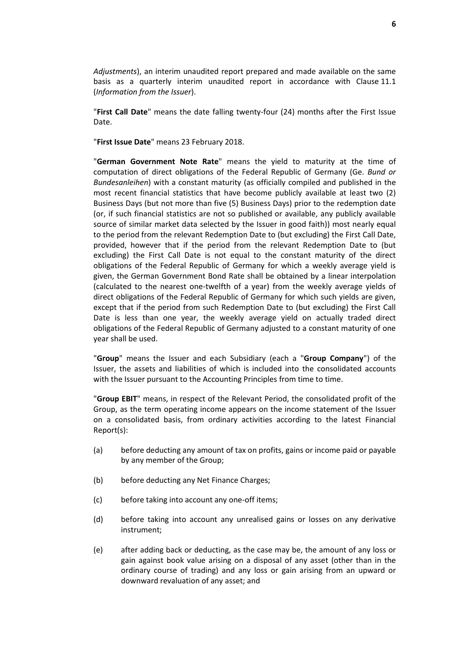*[Adjustments](#page-33-1)*), an interim unaudited report prepared and made available on the same basis as a quarterly interim unaudited report in accordance with Clause [11.1](#page-31-1) (*[Information from the Issuer](#page-31-1)*).

"**First Call Date**" means the date falling twenty-four (24) months after the First Issue Date.

"**First Issue Date**" means 23 February 2018.

"**German Government Note Rate**" means the yield to maturity at the time of computation of direct obligations of the Federal Republic of Germany (Ge. *Bund or Bundesanleihen*) with a constant maturity (as officially compiled and published in the most recent financial statistics that have become publicly available at least two (2) Business Days (but not more than five (5) Business Days) prior to the redemption date (or, if such financial statistics are not so published or available, any publicly available source of similar market data selected by the Issuer in good faith)) most nearly equal to the period from the relevant Redemption Date to (but excluding) the First Call Date, provided, however that if the period from the relevant Redemption Date to (but excluding) the First Call Date is not equal to the constant maturity of the direct obligations of the Federal Republic of Germany for which a weekly average yield is given, the German Government Bond Rate shall be obtained by a linear interpolation (calculated to the nearest one-twelfth of a year) from the weekly average yields of direct obligations of the Federal Republic of Germany for which such yields are given, except that if the period from such Redemption Date to (but excluding) the First Call Date is less than one year, the weekly average yield on actually traded direct obligations of the Federal Republic of Germany adjusted to a constant maturity of one year shall be used.

"**Group**" means the Issuer and each Subsidiary (each a "**Group Company**") of the Issuer, the assets and liabilities of which is included into the consolidated accounts with the Issuer pursuant to the Accounting Principles from time to time.

"**Group EBIT**" means, in respect of the Relevant Period, the consolidated profit of the Group, as the term operating income appears on the income statement of the Issuer on a consolidated basis, from ordinary activities according to the latest Financial Report(s):

- (a) before deducting any amount of tax on profits, gains or income paid or payable by any member of the Group;
- (b) before deducting any Net Finance Charges;
- (c) before taking into account any one-off items;
- (d) before taking into account any unrealised gains or losses on any derivative instrument;
- (e) after adding back or deducting, as the case may be, the amount of any loss or gain against book value arising on a disposal of any asset (other than in the ordinary course of trading) and any loss or gain arising from an upward or downward revaluation of any asset; and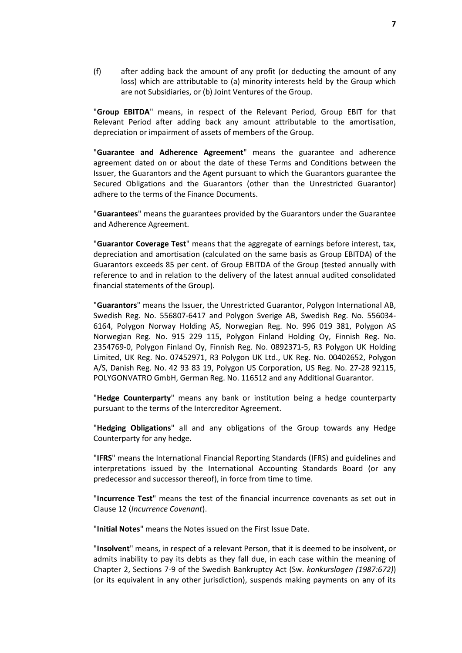(f) after adding back the amount of any profit (or deducting the amount of any loss) which are attributable to (a) minority interests held by the Group which are not Subsidiaries, or (b) Joint Ventures of the Group.

"**Group EBITDA**" means, in respect of the Relevant Period, Group EBIT for that Relevant Period after adding back any amount attributable to the amortisation, depreciation or impairment of assets of members of the Group.

"**Guarantee and Adherence Agreement**" means the guarantee and adherence agreement dated on or about the date of these Terms and Conditions between the Issuer, the Guarantors and the Agent pursuant to which the Guarantors guarantee the Secured Obligations and the Guarantors (other than the Unrestricted Guarantor) adhere to the terms of the Finance Documents.

"**Guarantees**" means the guarantees provided by the Guarantors under the Guarantee and Adherence Agreement.

"**Guarantor Coverage Test**" means that the aggregate of earnings before interest, tax, depreciation and amortisation (calculated on the same basis as Group EBITDA) of the Guarantors exceeds 85 per cent. of Group EBITDA of the Group (tested annually with reference to and in relation to the delivery of the latest annual audited consolidated financial statements of the Group).

"**Guarantors**" means the Issuer, the Unrestricted Guarantor, Polygon International AB, Swedish Reg. No. 556807-6417 and Polygon Sverige AB, Swedish Reg. No. 556034- 6164, Polygon Norway Holding AS, Norwegian Reg. No. 996 019 381, Polygon AS Norwegian Reg. No. 915 229 115, Polygon Finland Holding Oy, Finnish Reg. No. 2354769-0, Polygon Finland Oy, Finnish Reg. No. 0892371-5, R3 Polygon UK Holding Limited, UK Reg. No. 07452971, R3 Polygon UK Ltd., UK Reg. No. 00402652, Polygon A/S, Danish Reg. No. 42 93 83 19, Polygon US Corporation, US Reg. No. 27-28 92115, POLYGONVATRO GmbH, German Reg. No. 116512 and any Additional Guarantor.

"**Hedge Counterparty**" means any bank or institution being a hedge counterparty pursuant to the terms of the Intercreditor Agreement.

"**Hedging Obligations**" all and any obligations of the Group towards any Hedge Counterparty for any hedge.

"**IFRS**" means the International Financial Reporting Standards (IFRS) and guidelines and interpretations issued by the International Accounting Standards Board (or any predecessor and successor thereof), in force from time to time.

"**Incurrence Test**" means the test of the financial incurrence covenants as set out in Clause [12](#page-33-0) (*[Incurrence Covenant](#page-33-0)*).

"**Initial Notes**" means the Notes issued on the First Issue Date.

"**Insolvent**" means, in respect of a relevant Person, that it is deemed to be insolvent, or admits inability to pay its debts as they fall due, in each case within the meaning of Chapter 2, Sections 7-9 of the Swedish Bankruptcy Act (Sw. *konkurslagen (1987:672)*) (or its equivalent in any other jurisdiction), suspends making payments on any of its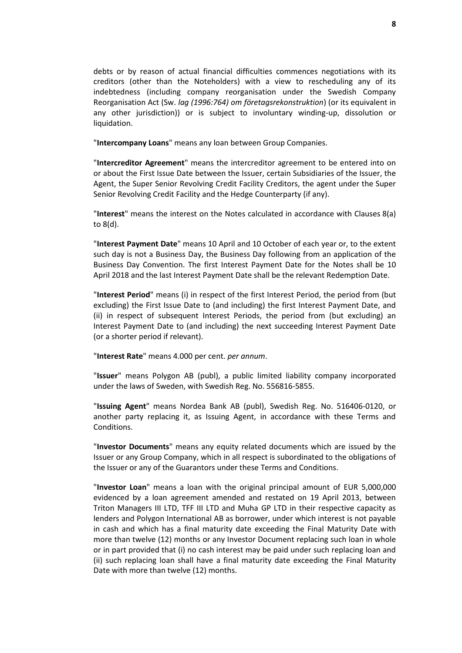debts or by reason of actual financial difficulties commences negotiations with its creditors (other than the Noteholders) with a view to rescheduling any of its indebtedness (including company reorganisation under the Swedish Company Reorganisation Act (Sw. *lag (1996:764) om företagsrekonstruktion*) (or its equivalent in any other jurisdiction)) or is subject to involuntary winding-up, dissolution or liquidation.

"**Intercompany Loans**" means any loan between Group Companies.

"**Intercreditor Agreement**" means the intercreditor agreement to be entered into on or about the First Issue Date between the Issuer, certain Subsidiaries of the Issuer, the Agent, the Super Senior Revolving Credit Facility Creditors, the agent under the Super Senior Revolving Credit Facility and the Hedge Counterparty (if any).

"**Interest**" means the interest on the Notes calculated in accordance with Clauses [8\(a\)](#page-25-3) t[o 8\(d\).](#page-25-4)

"**Interest Payment Date**" means 10 April and 10 October of each year or, to the extent such day is not a Business Day, the Business Day following from an application of the Business Day Convention. The first Interest Payment Date for the Notes shall be 10 April 2018 and the last Interest Payment Date shall be the relevant Redemption Date.

"**Interest Period**" means (i) in respect of the first Interest Period, the period from (but excluding) the First Issue Date to (and including) the first Interest Payment Date, and (ii) in respect of subsequent Interest Periods, the period from (but excluding) an Interest Payment Date to (and including) the next succeeding Interest Payment Date (or a shorter period if relevant).

"**Interest Rate**" means 4.000 per cent. *per annum*.

"**Issuer**" means Polygon AB (publ), a public limited liability company incorporated under the laws of Sweden, with Swedish Reg. No. 556816-5855.

"**Issuing Agent**" means Nordea Bank AB (publ), Swedish Reg. No. 516406-0120, or another party replacing it, as Issuing Agent, in accordance with these Terms and Conditions.

"**Investor Documents**" means any equity related documents which are issued by the Issuer or any Group Company, which in all respect is subordinated to the obligations of the Issuer or any of the Guarantors under these Terms and Conditions.

"**Investor Loan**" means a loan with the original principal amount of EUR 5,000,000 evidenced by a loan agreement amended and restated on 19 April 2013, between Triton Managers III LTD, TFF III LTD and Muha GP LTD in their respective capacity as lenders and Polygon International AB as borrower, under which interest is not payable in cash and which has a final maturity date exceeding the Final Maturity Date with more than twelve (12) months or any Investor Document replacing such loan in whole or in part provided that (i) no cash interest may be paid under such replacing loan and (ii) such replacing loan shall have a final maturity date exceeding the Final Maturity Date with more than twelve (12) months.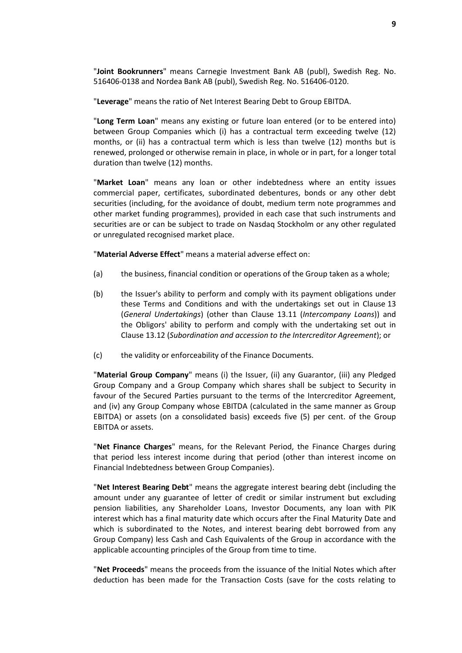"**Joint Bookrunners**" means Carnegie Investment Bank AB (publ), Swedish Reg. No. 516406-0138 and Nordea Bank AB (publ), Swedish Reg. No. 516406-0120.

"**Leverage**" means the ratio of Net Interest Bearing Debt to Group EBITDA.

"**Long Term Loan**" means any existing or future loan entered (or to be entered into) between Group Companies which (i) has a contractual term exceeding twelve (12) months, or (ii) has a contractual term which is less than twelve (12) months but is renewed, prolonged or otherwise remain in place, in whole or in part, for a longer total duration than twelve (12) months.

"**Market Loan**" means any loan or other indebtedness where an entity issues commercial paper, certificates, subordinated debentures, bonds or any other debt securities (including, for the avoidance of doubt, medium term note programmes and other market funding programmes), provided in each case that such instruments and securities are or can be subject to trade on Nasdaq Stockholm or any other regulated or unregulated recognised market place.

"**Material Adverse Effect**" means a material adverse effect on:

- (a) the business, financial condition or operations of the Group taken as a whole;
- (b) the Issuer's ability to perform and comply with its payment obligations under these Terms and Conditions and with the undertakings set out in Clause [13](#page-34-0) (*[General Undertakings](#page-34-0)*) (other than Clause [13.11](#page-37-0) (*[Intercompany Loans](#page-37-0)*)) and the Obligors' ability to perform and comply with the undertaking set out in Claus[e 13.12](#page-37-1) (*[Subordination and accession to the Intercreditor Agreement](#page-37-1)*); or
- (c) the validity or enforceability of the Finance Documents.

"**Material Group Company**" means (i) the Issuer, (ii) any Guarantor, (iii) any Pledged Group Company and a Group Company which shares shall be subject to Security in favour of the Secured Parties pursuant to the terms of the Intercreditor Agreement, and (iv) any Group Company whose EBITDA (calculated in the same manner as Group EBITDA) or assets (on a consolidated basis) exceeds five (5) per cent. of the Group EBITDA or assets.

"**Net Finance Charges**" means, for the Relevant Period, the Finance Charges during that period less interest income during that period (other than interest income on Financial Indebtedness between Group Companies).

"**Net Interest Bearing Debt**" means the aggregate interest bearing debt (including the amount under any guarantee of letter of credit or similar instrument but excluding pension liabilities, any Shareholder Loans, Investor Documents, any loan with PIK interest which has a final maturity date which occurs after the Final Maturity Date and which is subordinated to the Notes, and interest bearing debt borrowed from any Group Company) less Cash and Cash Equivalents of the Group in accordance with the applicable accounting principles of the Group from time to time.

"**Net Proceeds**" means the proceeds from the issuance of the Initial Notes which after deduction has been made for the Transaction Costs (save for the costs relating to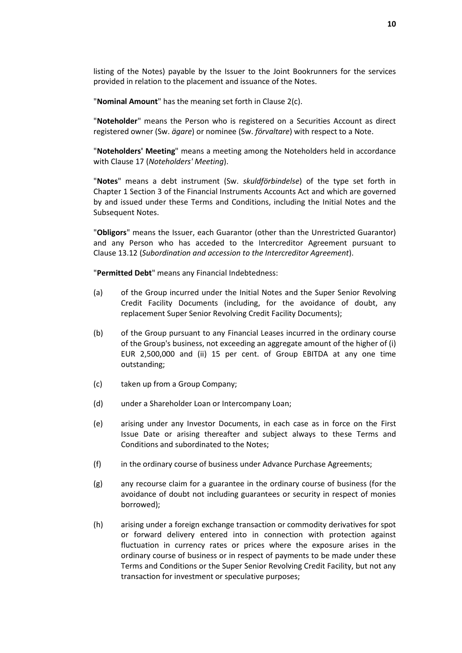listing of the Notes) payable by the Issuer to the Joint Bookrunners for the services provided in relation to the placement and issuance of the Notes.

"**Nominal Amount**" has the meaning set forth in Clause [2\(c\).](#page-20-1)

"**Noteholder**" means the Person who is registered on a Securities Account as direct registered owner (Sw. *ägare*) or nominee (Sw. *förvaltare*) with respect to a Note.

"**Noteholders' Meeting**" means a meeting among the Noteholders held in accordance with Clause [17](#page-44-0) (*[Noteholders'](#page-44-0) Meeting*).

"**Notes**" means a debt instrument (Sw. *skuldförbindelse*) of the type set forth in Chapter 1 Section 3 of the Financial Instruments Accounts Act and which are governed by and issued under these Terms and Conditions, including the Initial Notes and the Subsequent Notes.

"**Obligors**" means the Issuer, each Guarantor (other than the Unrestricted Guarantor) and any Person who has acceded to the Intercreditor Agreement pursuant to Clause [13.12](#page-37-1) (*[Subordination and accession to the Intercreditor Agreement](#page-37-1)*).

"**Permitted Debt**" means any Financial Indebtedness:

- (a) of the Group incurred under the Initial Notes and the Super Senior Revolving Credit Facility Documents (including, for the avoidance of doubt, any replacement Super Senior Revolving Credit Facility Documents);
- (b) of the Group pursuant to any Financial Leases incurred in the ordinary course of the Group's business, not exceeding an aggregate amount of the higher of (i) EUR 2,500,000 and (ii) 15 per cent. of Group EBITDA at any one time outstanding;
- (c) taken up from a Group Company;
- (d) under a Shareholder Loan or Intercompany Loan;
- (e) arising under any Investor Documents, in each case as in force on the First Issue Date or arising thereafter and subject always to these Terms and Conditions and subordinated to the Notes;
- (f) in the ordinary course of business under Advance Purchase Agreements;
- (g) any recourse claim for a guarantee in the ordinary course of business (for the avoidance of doubt not including guarantees or security in respect of monies borrowed);
- (h) arising under a foreign exchange transaction or commodity derivatives for spot or forward delivery entered into in connection with protection against fluctuation in currency rates or prices where the exposure arises in the ordinary course of business or in respect of payments to be made under these Terms and Conditions or the Super Senior Revolving Credit Facility, but not any transaction for investment or speculative purposes;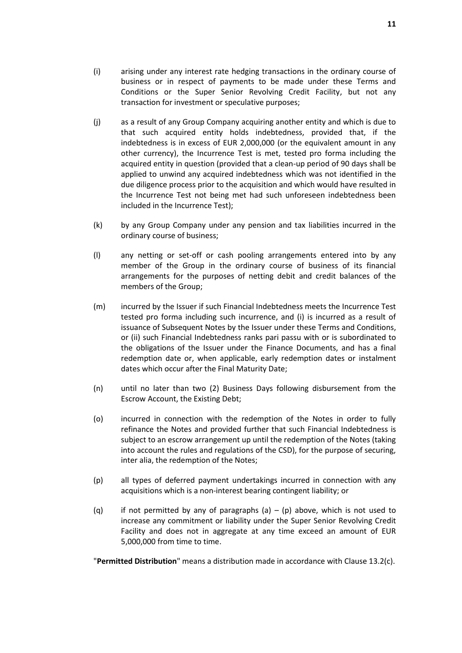- (i) arising under any interest rate hedging transactions in the ordinary course of business or in respect of payments to be made under these Terms and Conditions or the Super Senior Revolving Credit Facility, but not any transaction for investment or speculative purposes;
- (j) as a result of any Group Company acquiring another entity and which is due to that such acquired entity holds indebtedness, provided that, if the indebtedness is in excess of EUR 2,000,000 (or the equivalent amount in any other currency), the Incurrence Test is met, tested pro forma including the acquired entity in question (provided that a clean-up period of 90 days shall be applied to unwind any acquired indebtedness which was not identified in the due diligence process prior to the acquisition and which would have resulted in the Incurrence Test not being met had such unforeseen indebtedness been included in the Incurrence Test);
- (k) by any Group Company under any pension and tax liabilities incurred in the ordinary course of business;
- (l) any netting or set-off or cash pooling arrangements entered into by any member of the Group in the ordinary course of business of its financial arrangements for the purposes of netting debit and credit balances of the members of the Group;
- (m) incurred by the Issuer if such Financial Indebtedness meets the Incurrence Test tested pro forma including such incurrence, and (i) is incurred as a result of issuance of Subsequent Notes by the Issuer under these Terms and Conditions, or (ii) such Financial Indebtedness ranks pari passu with or is subordinated to the obligations of the Issuer under the Finance Documents, and has a final redemption date or, when applicable, early redemption dates or instalment dates which occur after the Final Maturity Date;
- (n) until no later than two (2) Business Days following disbursement from the Escrow Account, the Existing Debt;
- (o) incurred in connection with the redemption of the Notes in order to fully refinance the Notes and provided further that such Financial Indebtedness is subject to an escrow arrangement up until the redemption of the Notes (taking into account the rules and regulations of the CSD), for the purpose of securing, inter alia, the redemption of the Notes;
- (p) all types of deferred payment undertakings incurred in connection with any acquisitions which is a non-interest bearing contingent liability; or
- (q) if not permitted by any of paragraphs (a) (p) above, which is not used to increase any commitment or liability under the Super Senior Revolving Credit Facility and does not in aggregate at any time exceed an amount of EUR 5,000,000 from time to time.

"**Permitted Distribution**" means a distribution made in accordance with Clause [13.2\(c\).](#page-35-1)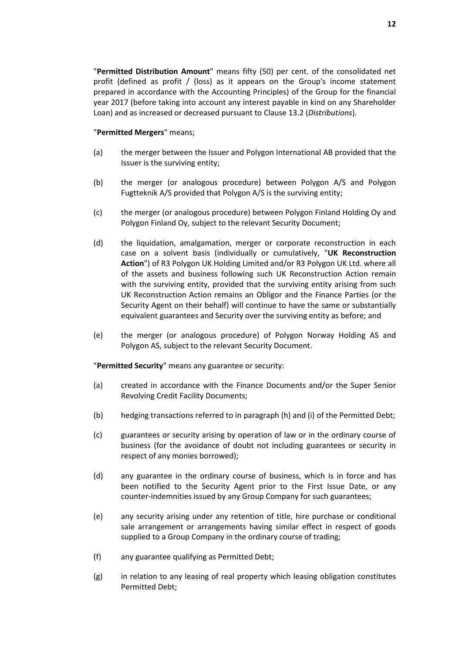#### "**Permitted Mergers**" means;

- (a) the merger between the Issuer and Polygon International AB provided that the Issuer is the surviving entity;
- (b) the merger (or analogous procedure) between Polygon A/S and Polygon Fugtteknik A/S provided that Polygon A/S is the surviving entity;
- (c) the merger (or analogous procedure) between Polygon Finland Holding Oy and Polygon Finland Oy, subject to the relevant Security Document;
- (d) the liquidation, amalgamation, merger or corporate reconstruction in each case on a solvent basis (individually or cumulatively, "**UK Reconstruction Action**") of R3 Polygon UK Holding Limited and/or R3 Polygon UK Ltd. where all of the assets and business following such UK Reconstruction Action remain with the surviving entity, provided that the surviving entity arising from such UK Reconstruction Action remains an Obligor and the Finance Parties (or the Security Agent on their behalf) will continue to have the same or substantially equivalent guarantees and Security over the surviving entity as before; and
- (e) the merger (or analogous procedure) of Polygon Norway Holding AS and Polygon AS, subject to the relevant Security Document.

"**Permitted Security**" means any guarantee or security:

- (a) created in accordance with the Finance Documents and/or the Super Senior Revolving Credit Facility Documents;
- (b) hedging transactions referred to in paragraph (h) and (i) of the Permitted Debt;
- (c) guarantees or security arising by operation of law or in the ordinary course of business (for the avoidance of doubt not including guarantees or security in respect of any monies borrowed);
- (d) any guarantee in the ordinary course of business, which is in force and has been notified to the Security Agent prior to the First Issue Date, or any counter-indemnities issued by any Group Company for such guarantees;
- (e) any security arising under any retention of title, hire purchase or conditional sale arrangement or arrangements having similar effect in respect of goods supplied to a Group Company in the ordinary course of trading;
- (f) any guarantee qualifying as Permitted Debt;
- (g) in relation to any leasing of real property which leasing obligation constitutes Permitted Debt;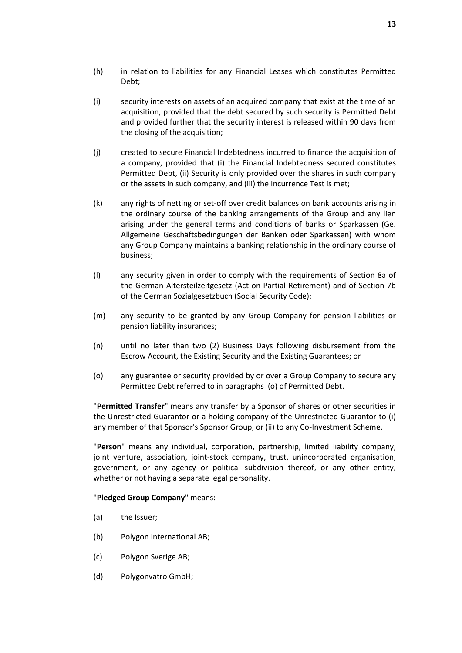- (h) in relation to liabilities for any Financial Leases which constitutes Permitted Debt;
- (i) security interests on assets of an acquired company that exist at the time of an acquisition, provided that the debt secured by such security is Permitted Debt and provided further that the security interest is released within 90 days from the closing of the acquisition;
- (j) created to secure Financial Indebtedness incurred to finance the acquisition of a company, provided that (i) the Financial Indebtedness secured constitutes Permitted Debt, (ii) Security is only provided over the shares in such company or the assets in such company, and (iii) the Incurrence Test is met;
- (k) any rights of netting or set-off over credit balances on bank accounts arising in the ordinary course of the banking arrangements of the Group and any lien arising under the general terms and conditions of banks or Sparkassen (Ge. Allgemeine Geschäftsbedingungen der Banken oder Sparkassen) with whom any Group Company maintains a banking relationship in the ordinary course of business;
- (l) any security given in order to comply with the requirements of Section 8a of the German Altersteilzeitgesetz (Act on Partial Retirement) and of Section 7b of the German Sozialgesetzbuch (Social Security Code);
- (m) any security to be granted by any Group Company for pension liabilities or pension liability insurances;
- (n) until no later than two (2) Business Days following disbursement from the Escrow Account, the Existing Security and the Existing Guarantees; or
- (o) any guarantee or security provided by or over a Group Company to secure any Permitted Debt referred to in paragraphs (o) of Permitted Debt.

"**Permitted Transfer**" means any transfer by a Sponsor of shares or other securities in the Unrestricted Guarantor or a holding company of the Unrestricted Guarantor to (i) any member of that Sponsor's Sponsor Group, or (ii) to any Co-Investment Scheme.

"**Person**" means any individual, corporation, partnership, limited liability company, joint venture, association, joint-stock company, trust, unincorporated organisation, government, or any agency or political subdivision thereof, or any other entity, whether or not having a separate legal personality.

#### "**Pledged Group Company**" means:

- (a) the Issuer;
- (b) Polygon International AB;
- (c) Polygon Sverige AB;
- (d) Polygonvatro GmbH;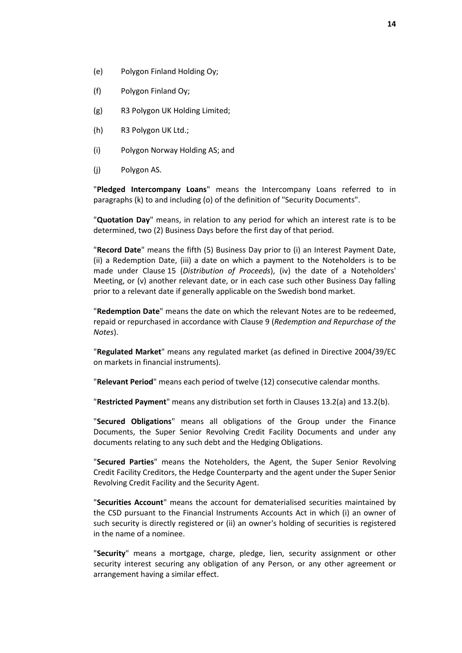- (e) Polygon Finland Holding Oy;
- (f) Polygon Finland Oy;
- (g) R3 Polygon UK Holding Limited;
- (h) R3 Polygon UK Ltd.;
- (i) Polygon Norway Holding AS; and
- (j) Polygon AS.

"**Pledged Intercompany Loans**" means the Intercompany Loans referred to in paragraphs [\(k\)](#page-16-0) to and includin[g \(o\)](#page-17-0) of the definition of "Security Documents".

"**Quotation Day**" means, in relation to any period for which an interest rate is to be determined, two (2) Business Days before the first day of that period.

"**Record Date**" means the fifth (5) Business Day prior to (i) an Interest Payment Date, (ii) a Redemption Date, (iii) a date on which a payment to the Noteholders is to be made under Clause [15](#page-40-0) (*[Distribution of Proceeds](#page-40-0)*), (iv) the date of a Noteholders' Meeting, or (v) another relevant date, or in each case such other Business Day falling prior to a relevant date if generally applicable on the Swedish bond market.

"**Redemption Date**" means the date on which the relevant Notes are to be redeemed, repaid or repurchased in accordance with Clause [9](#page-25-1) (*[Redemption and Repurchase of the](#page-25-1)  [Notes](#page-25-1)*).

"**Regulated Market**" means any regulated market (as defined in Directive 2004/39/EC on markets in financial instruments).

"**Relevant Period**" means each period of twelve (12) consecutive calendar months.

"**Restricted Payment**" means any distribution set forth in Clauses [13.2\(a\)](#page-34-2) an[d 13.2\(b\).](#page-34-3)

"**Secured Obligations**" means all obligations of the Group under the Finance Documents, the Super Senior Revolving Credit Facility Documents and under any documents relating to any such debt and the Hedging Obligations.

"**Secured Parties**" means the Noteholders, the Agent, the Super Senior Revolving Credit Facility Creditors, the Hedge Counterparty and the agent under the Super Senior Revolving Credit Facility and the Security Agent.

"**Securities Account**" means the account for dematerialised securities maintained by the CSD pursuant to the Financial Instruments Accounts Act in which (i) an owner of such security is directly registered or (ii) an owner's holding of securities is registered in the name of a nominee.

"**Security**" means a mortgage, charge, pledge, lien, security assignment or other security interest securing any obligation of any Person, or any other agreement or arrangement having a similar effect.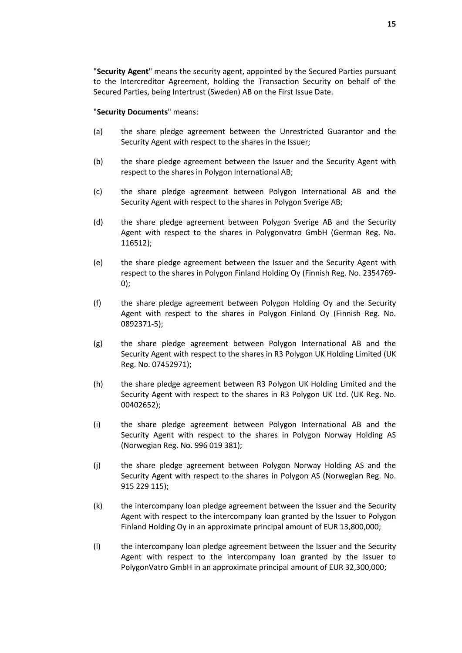"**Security Agent**" means the security agent, appointed by the Secured Parties pursuant to the Intercreditor Agreement, holding the Transaction Security on behalf of the Secured Parties, being Intertrust (Sweden) AB on the First Issue Date.

#### "**Security Documents**" means:

- (a) the share pledge agreement between the Unrestricted Guarantor and the Security Agent with respect to the shares in the Issuer;
- (b) the share pledge agreement between the Issuer and the Security Agent with respect to the shares in Polygon International AB;
- (c) the share pledge agreement between Polygon International AB and the Security Agent with respect to the shares in Polygon Sverige AB;
- (d) the share pledge agreement between Polygon Sverige AB and the Security Agent with respect to the shares in Polygonvatro GmbH (German Reg. No. 116512);
- (e) the share pledge agreement between the Issuer and the Security Agent with respect to the shares in Polygon Finland Holding Oy (Finnish Reg. No. 2354769- 0);
- (f) the share pledge agreement between Polygon Holding Oy and the Security Agent with respect to the shares in Polygon Finland Oy (Finnish Reg. No. 0892371-5);
- (g) the share pledge agreement between Polygon International AB and the Security Agent with respect to the shares in R3 Polygon UK Holding Limited (UK Reg. No. 07452971);
- (h) the share pledge agreement between R3 Polygon UK Holding Limited and the Security Agent with respect to the shares in R3 Polygon UK Ltd. (UK Reg. No. 00402652);
- (i) the share pledge agreement between Polygon International AB and the Security Agent with respect to the shares in Polygon Norway Holding AS (Norwegian Reg. No. 996 019 381);
- (j) the share pledge agreement between Polygon Norway Holding AS and the Security Agent with respect to the shares in Polygon AS (Norwegian Reg. No. 915 229 115);
- <span id="page-16-0"></span>(k) the intercompany loan pledge agreement between the Issuer and the Security Agent with respect to the intercompany loan granted by the Issuer to Polygon Finland Holding Oy in an approximate principal amount of EUR 13,800,000;
- (l) the intercompany loan pledge agreement between the Issuer and the Security Agent with respect to the intercompany loan granted by the Issuer to PolygonVatro GmbH in an approximate principal amount of EUR 32,300,000;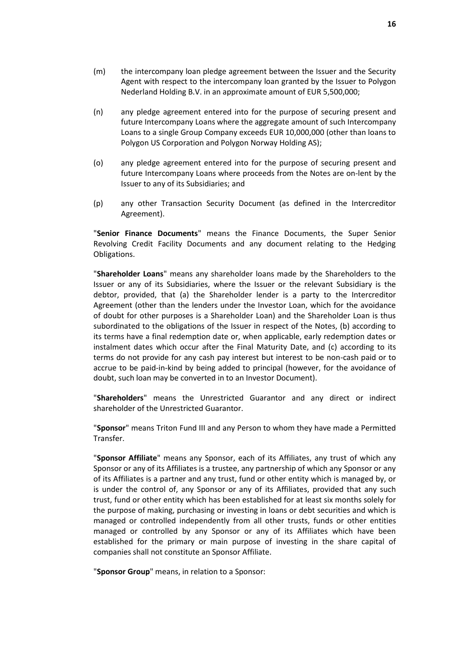- (n) any pledge agreement entered into for the purpose of securing present and future Intercompany Loans where the aggregate amount of such Intercompany Loans to a single Group Company exceeds EUR 10,000,000 (other than loans to Polygon US Corporation and Polygon Norway Holding AS);
- <span id="page-17-0"></span>(o) any pledge agreement entered into for the purpose of securing present and future Intercompany Loans where proceeds from the Notes are on-lent by the Issuer to any of its Subsidiaries; and
- (p) any other Transaction Security Document (as defined in the Intercreditor Agreement).

"**Senior Finance Documents**" means the Finance Documents, the Super Senior Revolving Credit Facility Documents and any document relating to the Hedging Obligations.

"**Shareholder Loans**" means any shareholder loans made by the Shareholders to the Issuer or any of its Subsidiaries, where the Issuer or the relevant Subsidiary is the debtor, provided, that (a) the Shareholder lender is a party to the Intercreditor Agreement (other than the lenders under the Investor Loan, which for the avoidance of doubt for other purposes is a Shareholder Loan) and the Shareholder Loan is thus subordinated to the obligations of the Issuer in respect of the Notes, (b) according to its terms have a final redemption date or, when applicable, early redemption dates or instalment dates which occur after the Final Maturity Date, and (c) according to its terms do not provide for any cash pay interest but interest to be non-cash paid or to accrue to be paid-in-kind by being added to principal (however, for the avoidance of doubt, such loan may be converted in to an Investor Document).

"**Shareholders**" means the Unrestricted Guarantor and any direct or indirect shareholder of the Unrestricted Guarantor.

"**Sponsor**" means Triton Fund III and any Person to whom they have made a Permitted Transfer.

"**Sponsor Affiliate**" means any Sponsor, each of its Affiliates, any trust of which any Sponsor or any of its Affiliates is a trustee, any partnership of which any Sponsor or any of its Affiliates is a partner and any trust, fund or other entity which is managed by, or is under the control of, any Sponsor or any of its Affiliates, provided that any such trust, fund or other entity which has been established for at least six months solely for the purpose of making, purchasing or investing in loans or debt securities and which is managed or controlled independently from all other trusts, funds or other entities managed or controlled by any Sponsor or any of its Affiliates which have been established for the primary or main purpose of investing in the share capital of companies shall not constitute an Sponsor Affiliate.

"**Sponsor Group**" means, in relation to a Sponsor: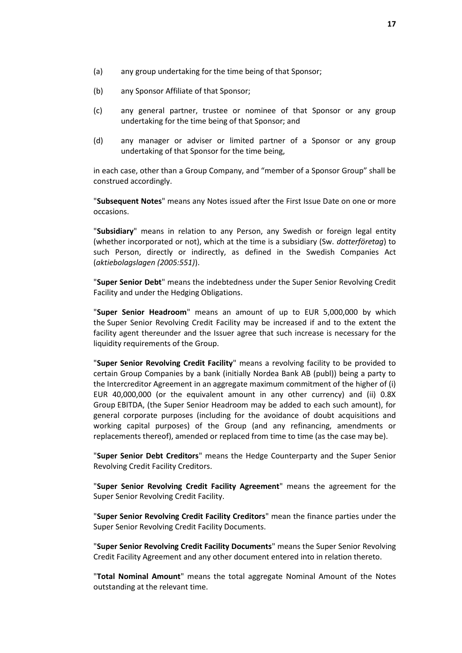- (a) any group undertaking for the time being of that Sponsor;
- (b) any Sponsor Affiliate of that Sponsor;
- (c) any general partner, trustee or nominee of that Sponsor or any group undertaking for the time being of that Sponsor; and
- (d) any manager or adviser or limited partner of a Sponsor or any group undertaking of that Sponsor for the time being,

in each case, other than a Group Company, and "member of a Sponsor Group" shall be construed accordingly.

"**Subsequent Notes**" means any Notes issued after the First Issue Date on one or more occasions.

"**Subsidiary**" means in relation to any Person, any Swedish or foreign legal entity (whether incorporated or not), which at the time is a subsidiary (Sw. *dotterföretag*) to such Person, directly or indirectly, as defined in the Swedish Companies Act (*aktiebolagslagen (2005:551)*).

"**Super Senior Debt**" means the indebtedness under the Super Senior Revolving Credit Facility and under the Hedging Obligations.

"**Super Senior Headroom**" means an amount of up to EUR 5,000,000 by which the Super Senior Revolving Credit Facility may be increased if and to the extent the facility agent thereunder and the Issuer agree that such increase is necessary for the liquidity requirements of the Group.

"**Super Senior Revolving Credit Facility**" means a revolving facility to be provided to certain Group Companies by a bank (initially Nordea Bank AB (publ)) being a party to the Intercreditor Agreement in an aggregate maximum commitment of the higher of (i) EUR 40,000,000 (or the equivalent amount in any other currency) and (ii) 0.8X Group EBITDA, (the Super Senior Headroom may be added to each such amount), for general corporate purposes (including for the avoidance of doubt acquisitions and working capital purposes) of the Group (and any refinancing, amendments or replacements thereof), amended or replaced from time to time (as the case may be).

"**Super Senior Debt Creditors**" means the Hedge Counterparty and the Super Senior Revolving Credit Facility Creditors.

"**Super Senior Revolving Credit Facility Agreement**" means the agreement for the Super Senior Revolving Credit Facility.

"**Super Senior Revolving Credit Facility Creditors**" mean the finance parties under the Super Senior Revolving Credit Facility Documents.

"**Super Senior Revolving Credit Facility Documents**" means the Super Senior Revolving Credit Facility Agreement and any other document entered into in relation thereto.

"**Total Nominal Amount**" means the total aggregate Nominal Amount of the Notes outstanding at the relevant time.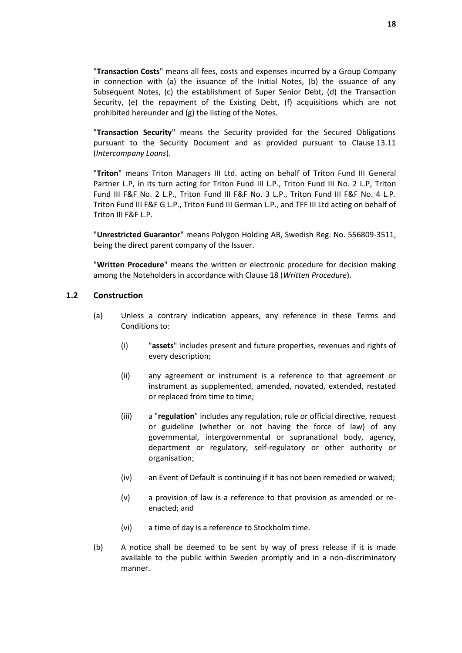"**Transaction Costs**" means all fees, costs and expenses incurred by a Group Company in connection with (a) the issuance of the Initial Notes, (b) the issuance of any Subsequent Notes, (c) the establishment of Super Senior Debt, (d) the Transaction Security, (e) the repayment of the Existing Debt, (f) acquisitions which are not prohibited hereunder and (g) the listing of the Notes.

"**Transaction Security**" means the Security provided for the Secured Obligations pursuant to the Security Document and as provided pursuant to Clause [13.11](#page-37-0) (*[Intercompany Loans](#page-37-0)*).

"**Triton**" means Triton Managers III Ltd. acting on behalf of Triton Fund III General Partner L.P, in its turn acting for Triton Fund III L.P., Triton Fund III No. 2 L.P, Triton Fund III F&F No. 2 L.P., Triton Fund III F&F No. 3 L.P., Triton Fund III F&F No. 4 L.P. Triton Fund III F&F G L.P., Triton Fund III German L.P., and TFF III Ltd acting on behalf of Triton III F&F L.P.

"**Unrestricted Guarantor**" means Polygon Holding AB, Swedish Reg. No. 556809-3511, being the direct parent company of the Issuer.

"**Written Procedure**" means the written or electronic procedure for decision making among the Noteholders in accordance with Clause [18](#page-45-0) (*[Written Procedure](#page-45-0)*).

### **1.2 Construction**

- (a) Unless a contrary indication appears, any reference in these Terms and Conditions to:
	- (i) "**assets**" includes present and future properties, revenues and rights of every description;
	- (ii) any agreement or instrument is a reference to that agreement or instrument as supplemented, amended, novated, extended, restated or replaced from time to time;
	- (iii) a "**regulation**" includes any regulation, rule or official directive, request or guideline (whether or not having the force of law) of any governmental, intergovernmental or supranational body, agency, department or regulatory, self-regulatory or other authority or organisation;
	- (iv) an Event of Default is continuing if it has not been remedied or waived;
	- (v) a provision of law is a reference to that provision as amended or reenacted; and
	- (vi) a time of day is a reference to Stockholm time.
- (b) A notice shall be deemed to be sent by way of press release if it is made available to the public within Sweden promptly and in a non-discriminatory manner.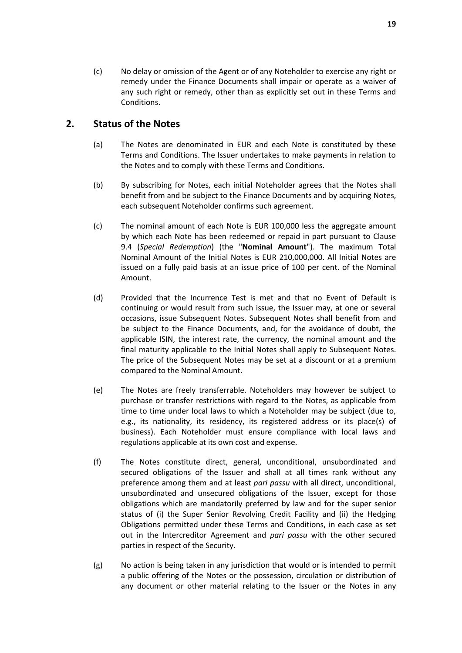(c) No delay or omission of the Agent or of any Noteholder to exercise any right or remedy under the Finance Documents shall impair or operate as a waiver of any such right or remedy, other than as explicitly set out in these Terms and Conditions.

# <span id="page-20-0"></span>**2. Status of the Notes**

- (a) The Notes are denominated in EUR and each Note is constituted by these Terms and Conditions. The Issuer undertakes to make payments in relation to the Notes and to comply with these Terms and Conditions.
- (b) By subscribing for Notes, each initial Noteholder agrees that the Notes shall benefit from and be subject to the Finance Documents and by acquiring Notes, each subsequent Noteholder confirms such agreement.
- <span id="page-20-1"></span>(c) The nominal amount of each Note is EUR 100,000 less the aggregate amount by which each Note has been redeemed or repaid in part pursuant to Clause [9.4](#page-26-0) (*[Special Redemption](#page-26-0)*) (the "**Nominal Amount**"). The maximum Total Nominal Amount of the Initial Notes is EUR 210,000,000. All Initial Notes are issued on a fully paid basis at an issue price of 100 per cent. of the Nominal Amount.
- (d) Provided that the Incurrence Test is met and that no Event of Default is continuing or would result from such issue, the Issuer may, at one or several occasions, issue Subsequent Notes. Subsequent Notes shall benefit from and be subject to the Finance Documents, and, for the avoidance of doubt, the applicable ISIN, the interest rate, the currency, the nominal amount and the final maturity applicable to the Initial Notes shall apply to Subsequent Notes. The price of the Subsequent Notes may be set at a discount or at a premium compared to the Nominal Amount.
- (e) The Notes are freely transferrable. Noteholders may however be subject to purchase or transfer restrictions with regard to the Notes, as applicable from time to time under local laws to which a Noteholder may be subject (due to, e.g., its nationality, its residency, its registered address or its place(s) of business). Each Noteholder must ensure compliance with local laws and regulations applicable at its own cost and expense.
- (f) The Notes constitute direct, general, unconditional, unsubordinated and secured obligations of the Issuer and shall at all times rank without any preference among them and at least *pari passu* with all direct, unconditional, unsubordinated and unsecured obligations of the Issuer, except for those obligations which are mandatorily preferred by law and for the super senior status of (i) the Super Senior Revolving Credit Facility and (ii) the Hedging Obligations permitted under these Terms and Conditions, in each case as set out in the Intercreditor Agreement and *pari passu* with the other secured parties in respect of the Security.
- (g) No action is being taken in any jurisdiction that would or is intended to permit a public offering of the Notes or the possession, circulation or distribution of any document or other material relating to the Issuer or the Notes in any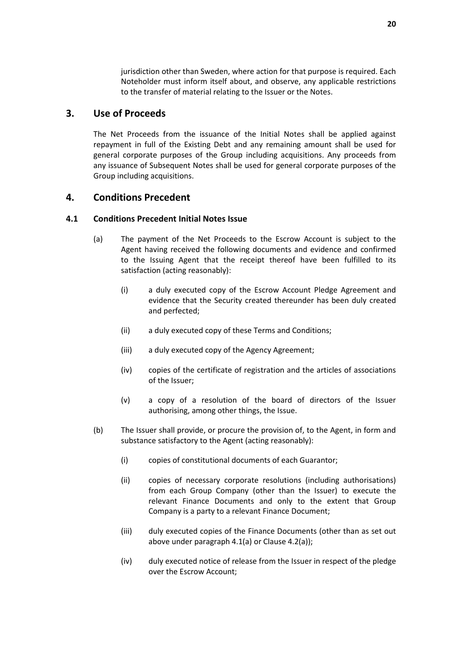jurisdiction other than Sweden, where action for that purpose is required. Each Noteholder must inform itself about, and observe, any applicable restrictions to the transfer of material relating to the Issuer or the Notes.

## <span id="page-21-0"></span>**3. Use of Proceeds**

The Net Proceeds from the issuance of the Initial Notes shall be applied against repayment in full of the Existing Debt and any remaining amount shall be used for general corporate purposes of the Group including acquisitions. Any proceeds from any issuance of Subsequent Notes shall be used for general corporate purposes of the Group including acquisitions.

### <span id="page-21-1"></span>**4. Conditions Precedent**

#### <span id="page-21-2"></span>**4.1 Conditions Precedent Initial Notes Issue**

- (a) The payment of the Net Proceeds to the Escrow Account is subject to the Agent having received the following documents and evidence and confirmed to the Issuing Agent that the receipt thereof have been fulfilled to its satisfaction (acting reasonably):
	- (i) a duly executed copy of the Escrow Account Pledge Agreement and evidence that the Security created thereunder has been duly created and perfected;
	- (ii) a duly executed copy of these Terms and Conditions;
	- (iii) a duly executed copy of the Agency Agreement;
	- (iv) copies of the certificate of registration and the articles of associations of the Issuer;
	- (v) a copy of a resolution of the board of directors of the Issuer authorising, among other things, the Issue.
- <span id="page-21-3"></span>(b) The Issuer shall provide, or procure the provision of, to the Agent, in form and substance satisfactory to the Agent (acting reasonably):
	- (i) copies of constitutional documents of each Guarantor;
	- (ii) copies of necessary corporate resolutions (including authorisations) from each Group Company (other than the Issuer) to execute the relevant Finance Documents and only to the extent that Group Company is a party to a relevant Finance Document;
	- (iii) duly executed copies of the Finance Documents (other than as set out above under paragrap[h 4.1\(a\)](#page-21-2) or Clause [4.2\(a\)\)](#page-22-0);
	- (iv) duly executed notice of release from the Issuer in respect of the pledge over the Escrow Account;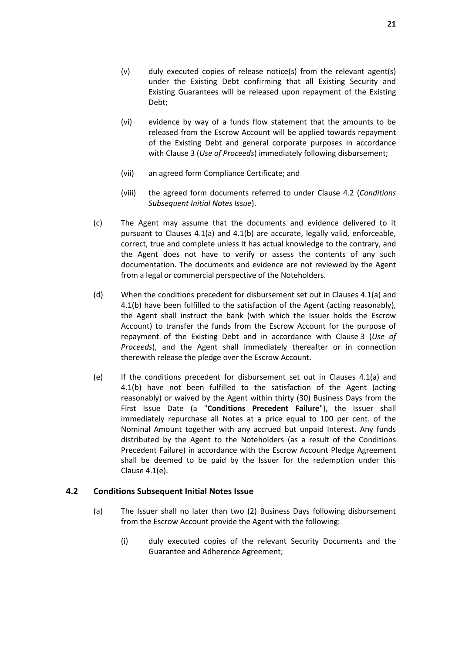- (v) duly executed copies of release notice(s) from the relevant agent(s) under the Existing Debt confirming that all Existing Security and Existing Guarantees will be released upon repayment of the Existing Debt;
- (vi) evidence by way of a funds flow statement that the amounts to be released from the Escrow Account will be applied towards repayment of the Existing Debt and general corporate purposes in accordance with Clause [3](#page-21-0) (*[Use of Proceeds](#page-21-0)*) immediately following disbursement;
- (vii) an agreed form Compliance Certificate; and
- (viii) the agreed form documents referred to under Clause [4.2](#page-22-1) (*[Conditions](#page-22-1)  [Subsequent Initial Notes Issue](#page-22-1)*).
- (c) The Agent may assume that the documents and evidence delivered to it pursuant to Clauses [4.1\(a\)](#page-21-2) and [4.1\(b\)](#page-21-3) are accurate, legally valid, enforceable, correct, true and complete unless it has actual knowledge to the contrary, and the Agent does not have to verify or assess the contents of any such documentation. The documents and evidence are not reviewed by the Agent from a legal or commercial perspective of the Noteholders.
- (d) When the conditions precedent for disbursement set out in Clauses [4.1\(a\)](#page-21-2) and [4.1\(b\)](#page-21-3) have been fulfilled to the satisfaction of the Agent (acting reasonably), the Agent shall instruct the bank (with which the Issuer holds the Escrow Account) to transfer the funds from the Escrow Account for the purpose of repayment of the Existing Debt and in accordance with Clause [3](#page-21-0) (*[Use of](#page-21-0)  [Proceeds](#page-21-0)*), and the Agent shall immediately thereafter or in connection therewith release the pledge over the Escrow Account.
- <span id="page-22-2"></span>(e) If the conditions precedent for disbursement set out in Clauses [4.1\(a\)](#page-21-2) and [4.1\(b\)](#page-21-3) have not been fulfilled to the satisfaction of the Agent (acting reasonably) or waived by the Agent within thirty (30) Business Days from the First Issue Date (a "**Conditions Precedent Failure**"), the Issuer shall immediately repurchase all Notes at a price equal to 100 per cent. of the Nominal Amount together with any accrued but unpaid Interest. Any funds distributed by the Agent to the Noteholders (as a result of the Conditions Precedent Failure) in accordance with the Escrow Account Pledge Agreement shall be deemed to be paid by the Issuer for the redemption under this Clause [4.1\(e\).](#page-22-2)

#### <span id="page-22-1"></span><span id="page-22-0"></span>**4.2 Conditions Subsequent Initial Notes Issue**

- (a) The Issuer shall no later than two (2) Business Days following disbursement from the Escrow Account provide the Agent with the following:
	- (i) duly executed copies of the relevant Security Documents and the Guarantee and Adherence Agreement;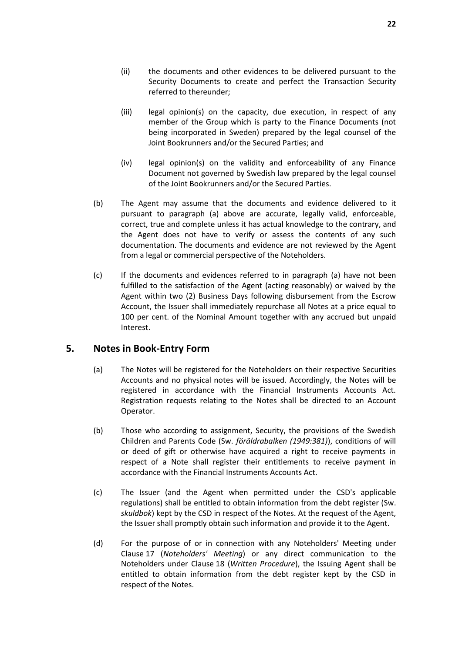- (ii) the documents and other evidences to be delivered pursuant to the Security Documents to create and perfect the Transaction Security referred to thereunder;
- (iii) legal opinion(s) on the capacity, due execution, in respect of any member of the Group which is party to the Finance Documents (not being incorporated in Sweden) prepared by the legal counsel of the Joint Bookrunners and/or the Secured Parties; and
- (iv) legal opinion(s) on the validity and enforceability of any Finance Document not governed by Swedish law prepared by the legal counsel of the Joint Bookrunners and/or the Secured Parties.
- (b) The Agent may assume that the documents and evidence delivered to it pursuant to paragraph [\(a\)](#page-21-2) above are accurate, legally valid, enforceable, correct, true and complete unless it has actual knowledge to the contrary, and the Agent does not have to verify or assess the contents of any such documentation. The documents and evidence are not reviewed by the Agent from a legal or commercial perspective of the Noteholders.
- (c) If the documents and evidences referred to in paragraph [\(a\)](#page-22-0) have not been fulfilled to the satisfaction of the Agent (acting reasonably) or waived by the Agent within two (2) Business Days following disbursement from the Escrow Account, the Issuer shall immediately repurchase all Notes at a price equal to 100 per cent. of the Nominal Amount together with any accrued but unpaid Interest.

# <span id="page-23-0"></span>**5. Notes in Book-Entry Form**

- (a) The Notes will be registered for the Noteholders on their respective Securities Accounts and no physical notes will be issued. Accordingly, the Notes will be registered in accordance with the Financial Instruments Accounts Act. Registration requests relating to the Notes shall be directed to an Account Operator.
- (b) Those who according to assignment, Security, the provisions of the Swedish Children and Parents Code (Sw. *föräldrabalken (1949:381)*), conditions of will or deed of gift or otherwise have acquired a right to receive payments in respect of a Note shall register their entitlements to receive payment in accordance with the Financial Instruments Accounts Act.
- (c) The Issuer (and the Agent when permitted under the CSD's applicable regulations) shall be entitled to obtain information from the debt register (Sw. *skuldbok*) kept by the CSD in respect of the Notes. At the request of the Agent, the Issuer shall promptly obtain such information and provide it to the Agent.
- (d) For the purpose of or in connection with any Noteholders' Meeting under Clause [17](#page-44-0) (*[Noteholders'](#page-44-0) Meeting*) or any direct communication to the Noteholders under Clause [18](#page-45-0) (*[Written Procedure](#page-45-0)*), the Issuing Agent shall be entitled to obtain information from the debt register kept by the CSD in respect of the Notes.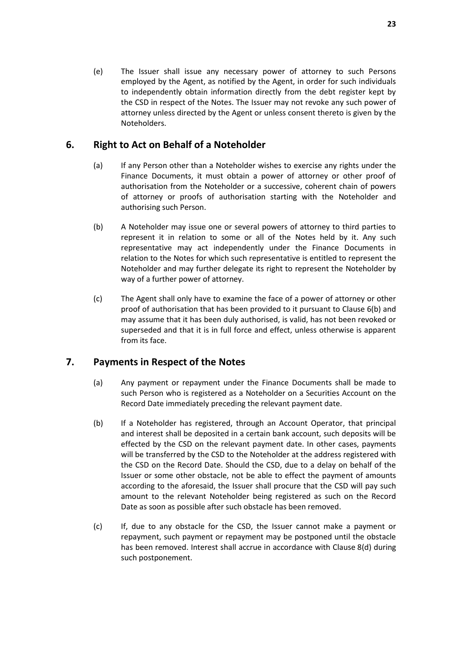(e) The Issuer shall issue any necessary power of attorney to such Persons employed by the Agent, as notified by the Agent, in order for such individuals to independently obtain information directly from the debt register kept by the CSD in respect of the Notes. The Issuer may not revoke any such power of attorney unless directed by the Agent or unless consent thereto is given by the Noteholders.

# <span id="page-24-0"></span>**6. Right to Act on Behalf of a Noteholder**

- (a) If any Person other than a Noteholder wishes to exercise any rights under the Finance Documents, it must obtain a power of attorney or other proof of authorisation from the Noteholder or a successive, coherent chain of powers of attorney or proofs of authorisation starting with the Noteholder and authorising such Person.
- <span id="page-24-2"></span>(b) A Noteholder may issue one or several powers of attorney to third parties to represent it in relation to some or all of the Notes held by it. Any such representative may act independently under the Finance Documents in relation to the Notes for which such representative is entitled to represent the Noteholder and may further delegate its right to represent the Noteholder by way of a further power of attorney.
- (c) The Agent shall only have to examine the face of a power of attorney or other proof of authorisation that has been provided to it pursuant to Clause [6\(b\)](#page-24-2) and may assume that it has been duly authorised, is valid, has not been revoked or superseded and that it is in full force and effect, unless otherwise is apparent from its face.

# <span id="page-24-1"></span>**7. Payments in Respect of the Notes**

- (a) Any payment or repayment under the Finance Documents shall be made to such Person who is registered as a Noteholder on a Securities Account on the Record Date immediately preceding the relevant payment date.
- (b) If a Noteholder has registered, through an Account Operator, that principal and interest shall be deposited in a certain bank account, such deposits will be effected by the CSD on the relevant payment date. In other cases, payments will be transferred by the CSD to the Noteholder at the address registered with the CSD on the Record Date. Should the CSD, due to a delay on behalf of the Issuer or some other obstacle, not be able to effect the payment of amounts according to the aforesaid, the Issuer shall procure that the CSD will pay such amount to the relevant Noteholder being registered as such on the Record Date as soon as possible after such obstacle has been removed.
- (c) If, due to any obstacle for the CSD, the Issuer cannot make a payment or repayment, such payment or repayment may be postponed until the obstacle has been removed. Interest shall accrue in accordance with Clause [8\(d\)](#page-25-4) during such postponement.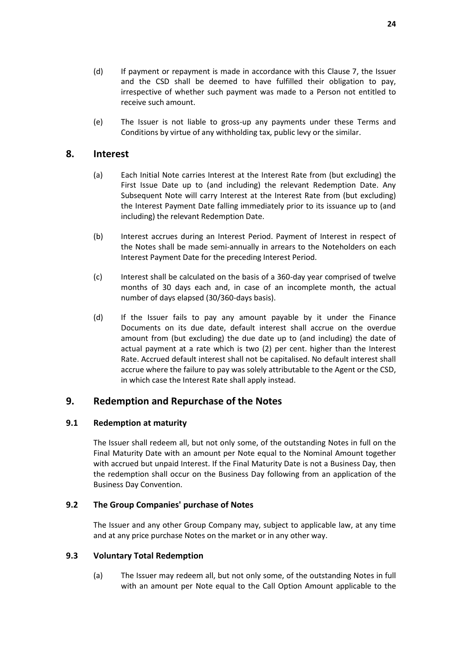- (d) If payment or repayment is made in accordance with this Clause [7,](#page-24-1) the Issuer and the CSD shall be deemed to have fulfilled their obligation to pay, irrespective of whether such payment was made to a Person not entitled to receive such amount.
- (e) The Issuer is not liable to gross-up any payments under these Terms and Conditions by virtue of any withholding tax, public levy or the similar.

### <span id="page-25-3"></span><span id="page-25-0"></span>**8. Interest**

- (a) Each Initial Note carries Interest at the Interest Rate from (but excluding) the First Issue Date up to (and including) the relevant Redemption Date. Any Subsequent Note will carry Interest at the Interest Rate from (but excluding) the Interest Payment Date falling immediately prior to its issuance up to (and including) the relevant Redemption Date.
- (b) Interest accrues during an Interest Period. Payment of Interest in respect of the Notes shall be made semi-annually in arrears to the Noteholders on each Interest Payment Date for the preceding Interest Period.
- (c) Interest shall be calculated on the basis of a 360-day year comprised of twelve months of 30 days each and, in case of an incomplete month, the actual number of days elapsed (30/360-days basis).
- <span id="page-25-4"></span>(d) If the Issuer fails to pay any amount payable by it under the Finance Documents on its due date, default interest shall accrue on the overdue amount from (but excluding) the due date up to (and including) the date of actual payment at a rate which is two (2) per cent. higher than the Interest Rate. Accrued default interest shall not be capitalised. No default interest shall accrue where the failure to pay was solely attributable to the Agent or the CSD, in which case the Interest Rate shall apply instead.

### <span id="page-25-1"></span>**9. Redemption and Repurchase of the Notes**

#### **9.1 Redemption at maturity**

The Issuer shall redeem all, but not only some, of the outstanding Notes in full on the Final Maturity Date with an amount per Note equal to the Nominal Amount together with accrued but unpaid Interest. If the Final Maturity Date is not a Business Day, then the redemption shall occur on the Business Day following from an application of the Business Day Convention.

### **9.2 The Group Companies' purchase of Notes**

The Issuer and any other Group Company may, subject to applicable law, at any time and at any price purchase Notes on the market or in any other way.

#### <span id="page-25-5"></span><span id="page-25-2"></span>**9.3 Voluntary Total Redemption**

(a) The Issuer may redeem all, but not only some, of the outstanding Notes in full with an amount per Note equal to the Call Option Amount applicable to the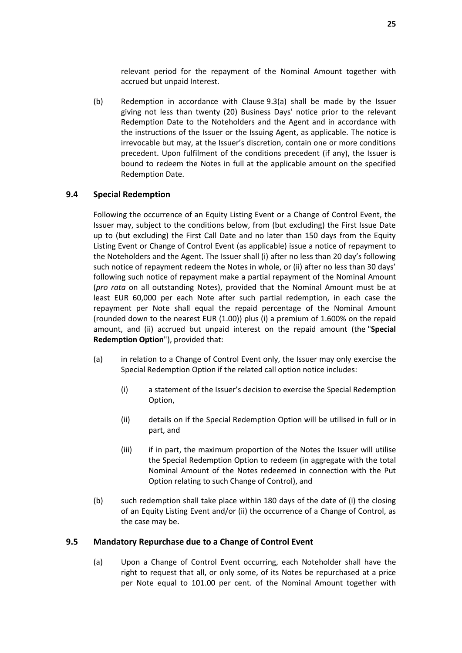relevant period for the repayment of the Nominal Amount together with accrued but unpaid Interest.

(b) Redemption in accordance with Clause [9.3\(a\)](#page-25-5) shall be made by the Issuer giving not less than twenty (20) Business Days' notice prior to the relevant Redemption Date to the Noteholders and the Agent and in accordance with the instructions of the Issuer or the Issuing Agent, as applicable. The notice is irrevocable but may, at the Issuer's discretion, contain one or more conditions precedent. Upon fulfilment of the conditions precedent (if any), the Issuer is bound to redeem the Notes in full at the applicable amount on the specified Redemption Date.

#### <span id="page-26-0"></span>**9.4 Special Redemption**

Following the occurrence of an Equity Listing Event or a Change of Control Event, the Issuer may, subject to the conditions below, from (but excluding) the First Issue Date up to (but excluding) the First Call Date and no later than 150 days from the Equity Listing Event or Change of Control Event (as applicable) issue a notice of repayment to the Noteholders and the Agent. The Issuer shall (i) after no less than 20 day's following such notice of repayment redeem the Notes in whole, or (ii) after no less than 30 days' following such notice of repayment make a partial repayment of the Nominal Amount (*pro rata* on all outstanding Notes), provided that the Nominal Amount must be at least EUR 60,000 per each Note after such partial redemption, in each case the repayment per Note shall equal the repaid percentage of the Nominal Amount (rounded down to the nearest EUR (1.00)) plus (i) a premium of 1.600% on the repaid amount, and (ii) accrued but unpaid interest on the repaid amount (the "**Special Redemption Option**"), provided that:

- (a) in relation to a Change of Control Event only, the Issuer may only exercise the Special Redemption Option if the related call option notice includes:
	- (i) a statement of the Issuer's decision to exercise the Special Redemption Option,
	- (ii) details on if the Special Redemption Option will be utilised in full or in part, and
	- (iii) if in part, the maximum proportion of the Notes the Issuer will utilise the Special Redemption Option to redeem (in aggregate with the total Nominal Amount of the Notes redeemed in connection with the Put Option relating to such Change of Control), and
- (b) such redemption shall take place within 180 days of the date of (i) the closing of an Equity Listing Event and/or (ii) the occurrence of a Change of Control, as the case may be.

#### <span id="page-26-1"></span>**9.5 Mandatory Repurchase due to a Change of Control Event**

(a) Upon a Change of Control Event occurring, each Noteholder shall have the right to request that all, or only some, of its Notes be repurchased at a price per Note equal to 101.00 per cent. of the Nominal Amount together with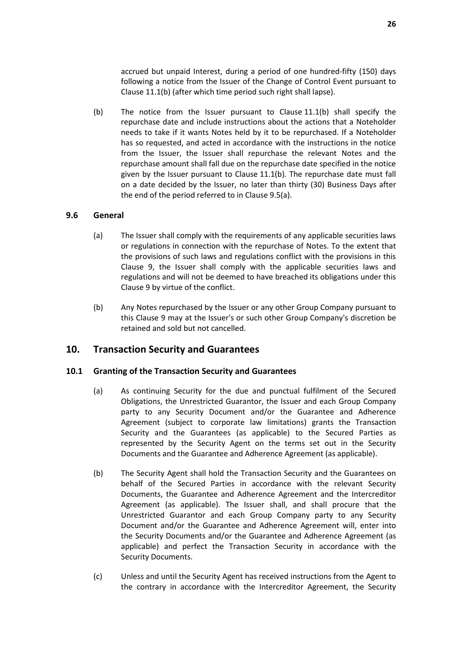accrued but unpaid Interest, during a period of one hundred-fifty (150) days following a notice from the Issuer of the Change of Control Event pursuant to Clause [11.1\(b\)](#page-32-0) (after which time period such right shall lapse).

(b) The notice from the Issuer pursuant to Clause [11.1\(b\)](#page-32-0) shall specify the repurchase date and include instructions about the actions that a Noteholder needs to take if it wants Notes held by it to be repurchased. If a Noteholder has so requested, and acted in accordance with the instructions in the notice from the Issuer, the Issuer shall repurchase the relevant Notes and the repurchase amount shall fall due on the repurchase date specified in the notice given by the Issuer pursuant to Clause [11.1\(b\).](#page-32-0) The repurchase date must fall on a date decided by the Issuer, no later than thirty (30) Business Days after the end of the period referred to in Clause [9.5\(a\).](#page-26-1)

#### **9.6 General**

- (a) The Issuer shall comply with the requirements of any applicable securities laws or regulations in connection with the repurchase of Notes. To the extent that the provisions of such laws and regulations conflict with the provisions in this Clause [9,](#page-25-1) the Issuer shall comply with the applicable securities laws and regulations and will not be deemed to have breached its obligations under this Claus[e 9](#page-25-1) by virtue of the conflict.
- (b) Any Notes repurchased by the Issuer or any other Group Company pursuant to this Clause [9](#page-25-1) may at the Issuer's or such other Group Company's discretion be retained and sold but not cancelled.

# <span id="page-27-0"></span>**10. Transaction Security and Guarantees**

#### **10.1 Granting of the Transaction Security and Guarantees**

- (a) As continuing Security for the due and punctual fulfilment of the Secured Obligations, the Unrestricted Guarantor, the Issuer and each Group Company party to any Security Document and/or the Guarantee and Adherence Agreement (subject to corporate law limitations) grants the Transaction Security and the Guarantees (as applicable) to the Secured Parties as represented by the Security Agent on the terms set out in the Security Documents and the Guarantee and Adherence Agreement (as applicable).
- (b) The Security Agent shall hold the Transaction Security and the Guarantees on behalf of the Secured Parties in accordance with the relevant Security Documents, the Guarantee and Adherence Agreement and the Intercreditor Agreement (as applicable). The Issuer shall, and shall procure that the Unrestricted Guarantor and each Group Company party to any Security Document and/or the Guarantee and Adherence Agreement will, enter into the Security Documents and/or the Guarantee and Adherence Agreement (as applicable) and perfect the Transaction Security in accordance with the Security Documents.
- (c) Unless and until the Security Agent has received instructions from the Agent to the contrary in accordance with the Intercreditor Agreement, the Security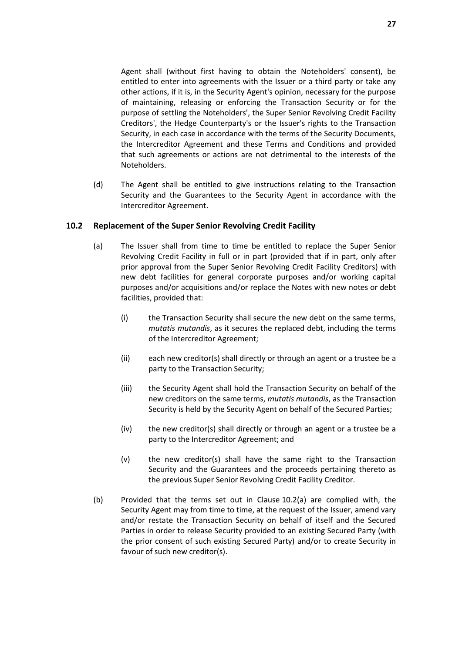Agent shall (without first having to obtain the Noteholders' consent), be entitled to enter into agreements with the Issuer or a third party or take any other actions, if it is, in the Security Agent's opinion, necessary for the purpose of maintaining, releasing or enforcing the Transaction Security or for the purpose of settling the Noteholders', the Super Senior Revolving Credit Facility Creditors', the Hedge Counterparty's or the Issuer's rights to the Transaction Security, in each case in accordance with the terms of the Security Documents, the Intercreditor Agreement and these Terms and Conditions and provided that such agreements or actions are not detrimental to the interests of the Noteholders.

(d) The Agent shall be entitled to give instructions relating to the Transaction Security and the Guarantees to the Security Agent in accordance with the Intercreditor Agreement.

#### <span id="page-28-0"></span>**10.2 Replacement of the Super Senior Revolving Credit Facility**

- (a) The Issuer shall from time to time be entitled to replace the Super Senior Revolving Credit Facility in full or in part (provided that if in part, only after prior approval from the Super Senior Revolving Credit Facility Creditors) with new debt facilities for general corporate purposes and/or working capital purposes and/or acquisitions and/or replace the Notes with new notes or debt facilities, provided that:
	- (i) the Transaction Security shall secure the new debt on the same terms, *mutatis mutandis*, as it secures the replaced debt, including the terms of the Intercreditor Agreement;
	- (ii) each new creditor(s) shall directly or through an agent or a trustee be a party to the Transaction Security;
	- (iii) the Security Agent shall hold the Transaction Security on behalf of the new creditors on the same terms, *mutatis mutandis*, as the Transaction Security is held by the Security Agent on behalf of the Secured Parties;
	- (iv) the new creditor(s) shall directly or through an agent or a trustee be a party to the Intercreditor Agreement; and
	- (v) the new creditor(s) shall have the same right to the Transaction Security and the Guarantees and the proceeds pertaining thereto as the previous Super Senior Revolving Credit Facility Creditor.
- (b) Provided that the terms set out in Clause [10.2\(a\)](#page-28-0) are complied with, the Security Agent may from time to time, at the request of the Issuer, amend vary and/or restate the Transaction Security on behalf of itself and the Secured Parties in order to release Security provided to an existing Secured Party (with the prior consent of such existing Secured Party) and/or to create Security in favour of such new creditor(s).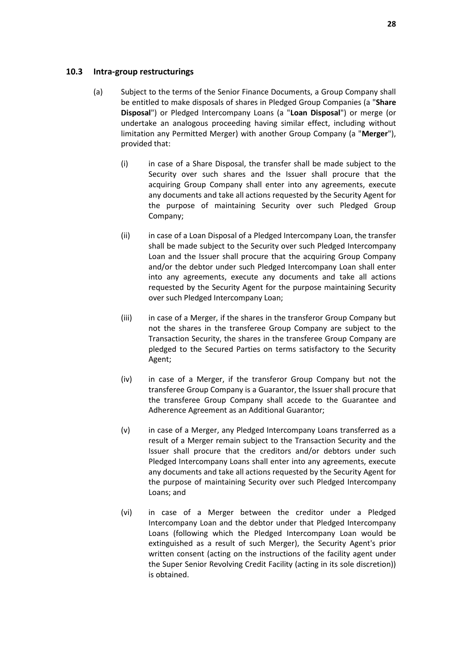#### **10.3 Intra-group restructurings**

- (a) Subject to the terms of the Senior Finance Documents, a Group Company shall be entitled to make disposals of shares in Pledged Group Companies (a "**Share Disposal**") or Pledged Intercompany Loans (a "**Loan Disposal**") or merge (or undertake an analogous proceeding having similar effect, including without limitation any Permitted Merger) with another Group Company (a "**Merger**"), provided that:
	- (i) in case of a Share Disposal, the transfer shall be made subject to the Security over such shares and the Issuer shall procure that the acquiring Group Company shall enter into any agreements, execute any documents and take all actions requested by the Security Agent for the purpose of maintaining Security over such Pledged Group Company;
	- (ii) in case of a Loan Disposal of a Pledged Intercompany Loan, the transfer shall be made subject to the Security over such Pledged Intercompany Loan and the Issuer shall procure that the acquiring Group Company and/or the debtor under such Pledged Intercompany Loan shall enter into any agreements, execute any documents and take all actions requested by the Security Agent for the purpose maintaining Security over such Pledged Intercompany Loan;
	- (iii) in case of a Merger, if the shares in the transferor Group Company but not the shares in the transferee Group Company are subject to the Transaction Security, the shares in the transferee Group Company are pledged to the Secured Parties on terms satisfactory to the Security Agent;
	- (iv) in case of a Merger, if the transferor Group Company but not the transferee Group Company is a Guarantor, the Issuer shall procure that the transferee Group Company shall accede to the Guarantee and Adherence Agreement as an Additional Guarantor;
	- (v) in case of a Merger, any Pledged Intercompany Loans transferred as a result of a Merger remain subject to the Transaction Security and the Issuer shall procure that the creditors and/or debtors under such Pledged Intercompany Loans shall enter into any agreements, execute any documents and take all actions requested by the Security Agent for the purpose of maintaining Security over such Pledged Intercompany Loans; and
	- (vi) in case of a Merger between the creditor under a Pledged Intercompany Loan and the debtor under that Pledged Intercompany Loans (following which the Pledged Intercompany Loan would be extinguished as a result of such Merger), the Security Agent's prior written consent (acting on the instructions of the facility agent under the Super Senior Revolving Credit Facility (acting in its sole discretion)) is obtained.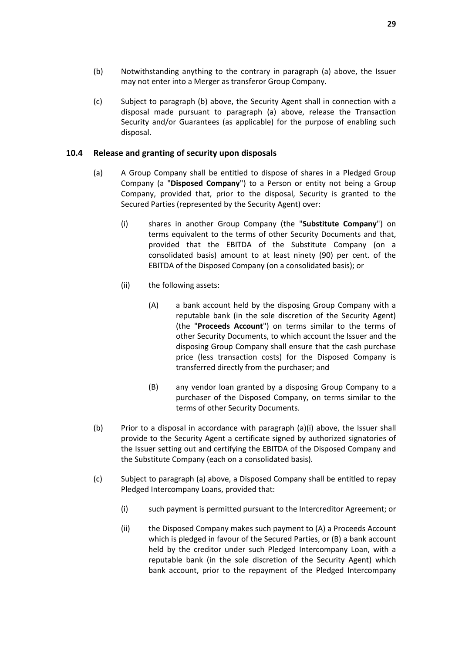- (b) Notwithstanding anything to the contrary in paragraph (a) above, the Issuer may not enter into a Merger as transferor Group Company.
- (c) Subject to paragraph (b) above, the Security Agent shall in connection with a disposal made pursuant to paragraph (a) above, release the Transaction Security and/or Guarantees (as applicable) for the purpose of enabling such disposal.

#### <span id="page-30-0"></span>**10.4 Release and granting of security upon disposals**

- (a) A Group Company shall be entitled to dispose of shares in a Pledged Group Company (a "**Disposed Company**") to a Person or entity not being a Group Company, provided that, prior to the disposal, Security is granted to the Secured Parties (represented by the Security Agent) over:
	- (i) shares in another Group Company (the "**Substitute Company**") on terms equivalent to the terms of other Security Documents and that, provided that the EBITDA of the Substitute Company (on a consolidated basis) amount to at least ninety (90) per cent. of the EBITDA of the Disposed Company (on a consolidated basis); or
	- (ii) the following assets:
		- (A) a bank account held by the disposing Group Company with a reputable bank (in the sole discretion of the Security Agent) (the "**Proceeds Account**") on terms similar to the terms of other Security Documents, to which account the Issuer and the disposing Group Company shall ensure that the cash purchase price (less transaction costs) for the Disposed Company is transferred directly from the purchaser; and
		- (B) any vendor loan granted by a disposing Group Company to a purchaser of the Disposed Company, on terms similar to the terms of other Security Documents.
- (b) Prior to a disposal in accordance with paragraph (a)(i) above, the Issuer shall provide to the Security Agent a certificate signed by authorized signatories of the Issuer setting out and certifying the EBITDA of the Disposed Company and the Substitute Company (each on a consolidated basis).
- (c) Subject to paragraph (a) above, a Disposed Company shall be entitled to repay Pledged Intercompany Loans, provided that:
	- (i) such payment is permitted pursuant to the Intercreditor Agreement; or
	- (ii) the Disposed Company makes such payment to (A) a Proceeds Account which is pledged in favour of the Secured Parties, or (B) a bank account held by the creditor under such Pledged Intercompany Loan, with a reputable bank (in the sole discretion of the Security Agent) which bank account, prior to the repayment of the Pledged Intercompany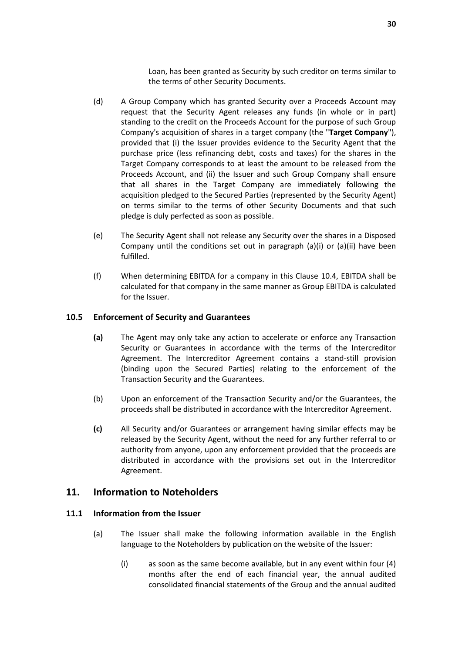Loan, has been granted as Security by such creditor on terms similar to the terms of other Security Documents.

- (d) A Group Company which has granted Security over a Proceeds Account may request that the Security Agent releases any funds (in whole or in part) standing to the credit on the Proceeds Account for the purpose of such Group Company's acquisition of shares in a target company (the "**Target Company**"), provided that (i) the Issuer provides evidence to the Security Agent that the purchase price (less refinancing debt, costs and taxes) for the shares in the Target Company corresponds to at least the amount to be released from the Proceeds Account, and (ii) the Issuer and such Group Company shall ensure that all shares in the Target Company are immediately following the acquisition pledged to the Secured Parties (represented by the Security Agent) on terms similar to the terms of other Security Documents and that such pledge is duly perfected as soon as possible.
- (e) The Security Agent shall not release any Security over the shares in a Disposed Company until the conditions set out in paragraph (a)(i) or (a)(ii) have been fulfilled.
- (f) When determining EBITDA for a company in this Clause [10.4,](#page-30-0) EBITDA shall be calculated for that company in the same manner as Group EBITDA is calculated for the Issuer.

#### **10.5 Enforcement of Security and Guarantees**

- **(a)** The Agent may only take any action to accelerate or enforce any Transaction Security or Guarantees in accordance with the terms of the Intercreditor Agreement. The Intercreditor Agreement contains a stand-still provision (binding upon the Secured Parties) relating to the enforcement of the Transaction Security and the Guarantees.
- (b) Upon an enforcement of the Transaction Security and/or the Guarantees, the proceeds shall be distributed in accordance with the Intercreditor Agreement.
- **(c)** All Security and/or Guarantees or arrangement having similar effects may be released by the Security Agent, without the need for any further referral to or authority from anyone, upon any enforcement provided that the proceeds are distributed in accordance with the provisions set out in the Intercreditor Agreement.

### <span id="page-31-0"></span>**11. Information to Noteholders**

### <span id="page-31-2"></span><span id="page-31-1"></span>**11.1 Information from the Issuer**

- (a) The Issuer shall make the following information available in the English language to the Noteholders by publication on the website of the Issuer:
	- (i) as soon as the same become available, but in any event within four (4) months after the end of each financial year, the annual audited consolidated financial statements of the Group and the annual audited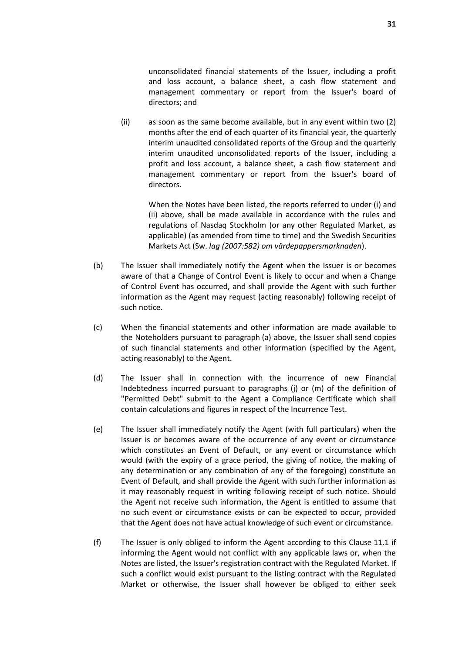unconsolidated financial statements of the Issuer, including a profit and loss account, a balance sheet, a cash flow statement and management commentary or report from the Issuer's board of directors; and

(ii) as soon as the same become available, but in any event within two (2) months after the end of each quarter of its financial year, the quarterly interim unaudited consolidated reports of the Group and the quarterly interim unaudited unconsolidated reports of the Issuer, including a profit and loss account, a balance sheet, a cash flow statement and management commentary or report from the Issuer's board of directors.

When the Notes have been listed, the reports referred to under (i) and (ii) above, shall be made available in accordance with the rules and regulations of Nasdaq Stockholm (or any other Regulated Market, as applicable) (as amended from time to time) and the Swedish Securities Markets Act (Sw. *lag (2007:582) om värdepappersmarknaden*).

- <span id="page-32-0"></span>(b) The Issuer shall immediately notify the Agent when the Issuer is or becomes aware of that a Change of Control Event is likely to occur and when a Change of Control Event has occurred, and shall provide the Agent with such further information as the Agent may request (acting reasonably) following receipt of such notice.
- (c) When the financial statements and other information are made available to the Noteholders pursuant to paragraph [\(a\)](#page-31-2) above, the Issuer shall send copies of such financial statements and other information (specified by the Agent, acting reasonably) to the Agent.
- (d) The Issuer shall in connection with the incurrence of new Financial Indebtedness incurred pursuant to paragraphs (j) or (m) of the definition of "Permitted Debt" submit to the Agent a Compliance Certificate which shall contain calculations and figures in respect of the Incurrence Test.
- (e) The Issuer shall immediately notify the Agent (with full particulars) when the Issuer is or becomes aware of the occurrence of any event or circumstance which constitutes an Event of Default, or any event or circumstance which would (with the expiry of a grace period, the giving of notice, the making of any determination or any combination of any of the foregoing) constitute an Event of Default, and shall provide the Agent with such further information as it may reasonably request in writing following receipt of such notice. Should the Agent not receive such information, the Agent is entitled to assume that no such event or circumstance exists or can be expected to occur, provided that the Agent does not have actual knowledge of such event or circumstance.
- (f) The Issuer is only obliged to inform the Agent according to this Clause [11.1](#page-31-1) if informing the Agent would not conflict with any applicable laws or, when the Notes are listed, the Issuer's registration contract with the Regulated Market. If such a conflict would exist pursuant to the listing contract with the Regulated Market or otherwise, the Issuer shall however be obliged to either seek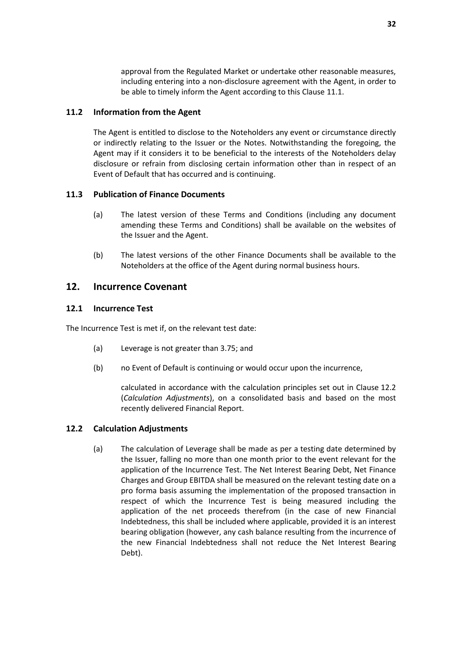approval from the Regulated Market or undertake other reasonable measures, including entering into a non-disclosure agreement with the Agent, in order to be able to timely inform the Agent according to this Clause [11.1.](#page-31-1)

### **11.2 Information from the Agent**

The Agent is entitled to disclose to the Noteholders any event or circumstance directly or indirectly relating to the Issuer or the Notes. Notwithstanding the foregoing, the Agent may if it considers it to be beneficial to the interests of the Noteholders delay disclosure or refrain from disclosing certain information other than in respect of an Event of Default that has occurred and is continuing.

#### <span id="page-33-2"></span>**11.3 Publication of Finance Documents**

- (a) The latest version of these Terms and Conditions (including any document amending these Terms and Conditions) shall be available on the websites of the Issuer and the Agent.
- (b) The latest versions of the other Finance Documents shall be available to the Noteholders at the office of the Agent during normal business hours.

## <span id="page-33-0"></span>**12. Incurrence Covenant**

#### **12.1 Incurrence Test**

The Incurrence Test is met if, on the relevant test date:

- (a) Leverage is not greater than 3.75; and
- (b) no Event of Default is continuing or would occur upon the incurrence,

calculated in accordance with the calculation principles set out in Clause [12.2](#page-33-1) (*[Calculation Adjustments](#page-33-1)*), on a consolidated basis and based on the most recently delivered Financial Report.

#### <span id="page-33-1"></span>**12.2 Calculation Adjustments**

(a) The calculation of Leverage shall be made as per a testing date determined by the Issuer, falling no more than one month prior to the event relevant for the application of the Incurrence Test. The Net Interest Bearing Debt, Net Finance Charges and Group EBITDA shall be measured on the relevant testing date on a pro forma basis assuming the implementation of the proposed transaction in respect of which the Incurrence Test is being measured including the application of the net proceeds therefrom (in the case of new Financial Indebtedness, this shall be included where applicable, provided it is an interest bearing obligation (however, any cash balance resulting from the incurrence of the new Financial Indebtedness shall not reduce the Net Interest Bearing Debt).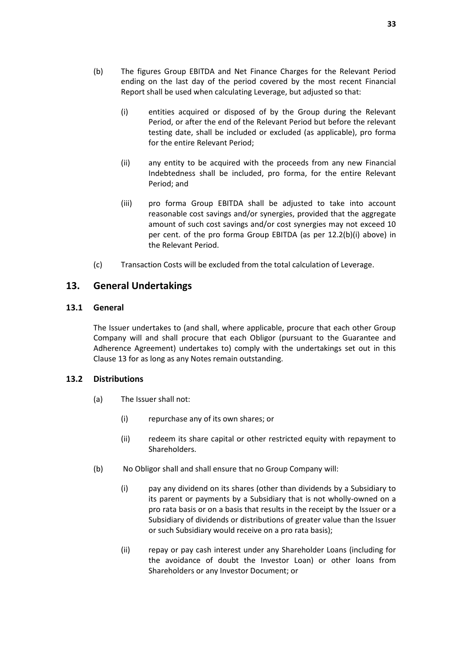- <span id="page-34-4"></span>(b) The figures Group EBITDA and Net Finance Charges for the Relevant Period ending on the last day of the period covered by the most recent Financial Report shall be used when calculating Leverage, but adjusted so that:
	- (i) entities acquired or disposed of by the Group during the Relevant Period, or after the end of the Relevant Period but before the relevant testing date, shall be included or excluded (as applicable), pro forma for the entire Relevant Period;
	- (ii) any entity to be acquired with the proceeds from any new Financial Indebtedness shall be included, pro forma, for the entire Relevant Period; and
	- (iii) pro forma Group EBITDA shall be adjusted to take into account reasonable cost savings and/or synergies, provided that the aggregate amount of such cost savings and/or cost synergies may not exceed 10 per cent. of the pro forma Group EBITDA (as per [12.2\(b\)\(i\)](#page-34-4) above) in the Relevant Period.
- (c) Transaction Costs will be excluded from the total calculation of Leverage.

# <span id="page-34-0"></span>**13. General Undertakings**

#### **13.1 General**

The Issuer undertakes to (and shall, where applicable, procure that each other Group Company will and shall procure that each Obligor (pursuant to the Guarantee and Adherence Agreement) undertakes to) comply with the undertakings set out in this Clause [13](#page-34-0) for as long as any Notes remain outstanding.

#### <span id="page-34-2"></span><span id="page-34-1"></span>**13.2 Distributions**

- (a) The Issuer shall not:
	- (i) repurchase any of its own shares; or
	- (ii) redeem its share capital or other restricted equity with repayment to Shareholders.
- <span id="page-34-3"></span>(b) No Obligor shall and shall ensure that no Group Company will:
	- (i) pay any dividend on its shares (other than dividends by a Subsidiary to its parent or payments by a Subsidiary that is not wholly-owned on a pro rata basis or on a basis that results in the receipt by the Issuer or a Subsidiary of dividends or distributions of greater value than the Issuer or such Subsidiary would receive on a pro rata basis);
	- (ii) repay or pay cash interest under any Shareholder Loans (including for the avoidance of doubt the Investor Loan) or other loans from Shareholders or any Investor Document; or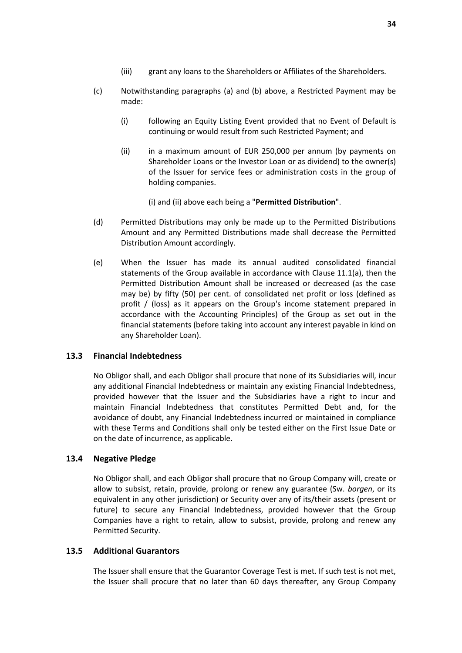- <span id="page-35-1"></span>(c) Notwithstanding paragraphs (a) and (b) above, a Restricted Payment may be made:
	- (i) following an Equity Listing Event provided that no Event of Default is continuing or would result from such Restricted Payment; and
	- (ii) in a maximum amount of EUR 250,000 per annum (by payments on Shareholder Loans or the Investor Loan or as dividend) to the owner(s) of the Issuer for service fees or administration costs in the group of holding companies.

(i) and (ii) above each being a "**Permitted Distribution**".

- (d) Permitted Distributions may only be made up to the Permitted Distributions Amount and any Permitted Distributions made shall decrease the Permitted Distribution Amount accordingly.
- (e) When the Issuer has made its annual audited consolidated financial statements of the Group available in accordance with Clause [11.1\(a\),](#page-31-2) then the Permitted Distribution Amount shall be increased or decreased (as the case may be) by fifty (50) per cent. of consolidated net profit or loss (defined as profit / (loss) as it appears on the Group's income statement prepared in accordance with the Accounting Principles) of the Group as set out in the financial statements (before taking into account any interest payable in kind on any Shareholder Loan).

### **13.3 Financial Indebtedness**

No Obligor shall, and each Obligor shall procure that none of its Subsidiaries will, incur any additional Financial Indebtedness or maintain any existing Financial Indebtedness, provided however that the Issuer and the Subsidiaries have a right to incur and maintain Financial Indebtedness that constitutes Permitted Debt and, for the avoidance of doubt, any Financial Indebtedness incurred or maintained in compliance with these Terms and Conditions shall only be tested either on the First Issue Date or on the date of incurrence, as applicable.

### **13.4 Negative Pledge**

No Obligor shall, and each Obligor shall procure that no Group Company will, create or allow to subsist, retain, provide, prolong or renew any guarantee (Sw. *borgen*, or its equivalent in any other jurisdiction) or Security over any of its/their assets (present or future) to secure any Financial Indebtedness, provided however that the Group Companies have a right to retain, allow to subsist, provide, prolong and renew any Permitted Security.

#### <span id="page-35-0"></span>**13.5 Additional Guarantors**

The Issuer shall ensure that the Guarantor Coverage Test is met. If such test is not met, the Issuer shall procure that no later than 60 days thereafter, any Group Company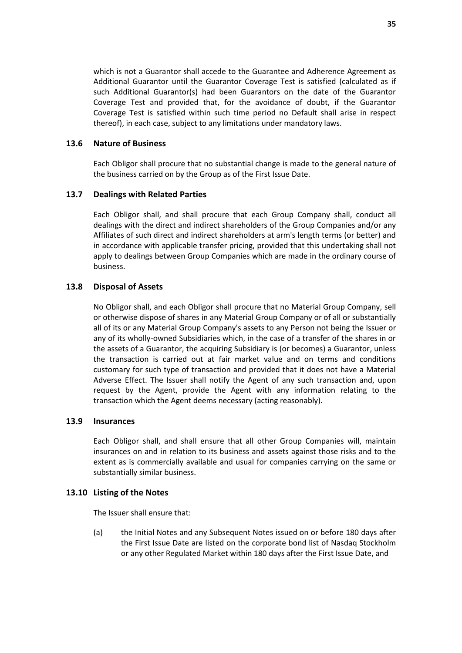which is not a Guarantor shall accede to the Guarantee and Adherence Agreement as Additional Guarantor until the Guarantor Coverage Test is satisfied (calculated as if such Additional Guarantor(s) had been Guarantors on the date of the Guarantor Coverage Test and provided that, for the avoidance of doubt, if the Guarantor Coverage Test is satisfied within such time period no Default shall arise in respect thereof), in each case, subject to any limitations under mandatory laws.

#### **13.6 Nature of Business**

Each Obligor shall procure that no substantial change is made to the general nature of the business carried on by the Group as of the First Issue Date.

#### **13.7 Dealings with Related Parties**

Each Obligor shall, and shall procure that each Group Company shall, conduct all dealings with the direct and indirect shareholders of the Group Companies and/or any Affiliates of such direct and indirect shareholders at arm's length terms (or better) and in accordance with applicable transfer pricing, provided that this undertaking shall not apply to dealings between Group Companies which are made in the ordinary course of business.

#### **13.8 Disposal of Assets**

No Obligor shall, and each Obligor shall procure that no Material Group Company, sell or otherwise dispose of shares in any Material Group Company or of all or substantially all of its or any Material Group Company's assets to any Person not being the Issuer or any of its wholly-owned Subsidiaries which, in the case of a transfer of the shares in or the assets of a Guarantor, the acquiring Subsidiary is (or becomes) a Guarantor, unless the transaction is carried out at fair market value and on terms and conditions customary for such type of transaction and provided that it does not have a Material Adverse Effect. The Issuer shall notify the Agent of any such transaction and, upon request by the Agent, provide the Agent with any information relating to the transaction which the Agent deems necessary (acting reasonably).

#### **13.9 Insurances**

Each Obligor shall, and shall ensure that all other Group Companies will, maintain insurances on and in relation to its business and assets against those risks and to the extent as is commercially available and usual for companies carrying on the same or substantially similar business.

### **13.10 Listing of the Notes**

The Issuer shall ensure that:

(a) the Initial Notes and any Subsequent Notes issued on or before 180 days after the First Issue Date are listed on the corporate bond list of Nasdaq Stockholm or any other Regulated Market within 180 days after the First Issue Date, and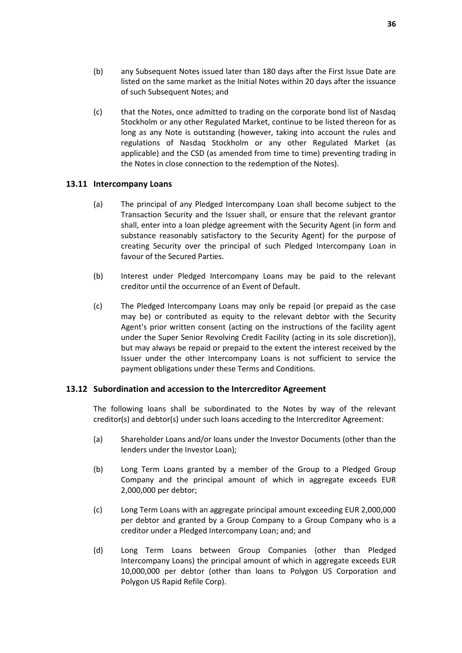- (b) any Subsequent Notes issued later than 180 days after the First Issue Date are listed on the same market as the Initial Notes within 20 days after the issuance of such Subsequent Notes; and
- (c) that the Notes, once admitted to trading on the corporate bond list of Nasdaq Stockholm or any other Regulated Market, continue to be listed thereon for as long as any Note is outstanding (however, taking into account the rules and regulations of Nasdaq Stockholm or any other Regulated Market (as applicable) and the CSD (as amended from time to time) preventing trading in the Notes in close connection to the redemption of the Notes).

### <span id="page-37-0"></span>**13.11 Intercompany Loans**

- (a) The principal of any Pledged Intercompany Loan shall become subject to the Transaction Security and the Issuer shall, or ensure that the relevant grantor shall, enter into a loan pledge agreement with the Security Agent (in form and substance reasonably satisfactory to the Security Agent) for the purpose of creating Security over the principal of such Pledged Intercompany Loan in favour of the Secured Parties.
- (b) Interest under Pledged Intercompany Loans may be paid to the relevant creditor until the occurrence of an Event of Default.
- (c) The Pledged Intercompany Loans may only be repaid (or prepaid as the case may be) or contributed as equity to the relevant debtor with the Security Agent's prior written consent (acting on the instructions of the facility agent under the Super Senior Revolving Credit Facility (acting in its sole discretion)), but may always be repaid or prepaid to the extent the interest received by the Issuer under the other Intercompany Loans is not sufficient to service the payment obligations under these Terms and Conditions.

#### <span id="page-37-1"></span>**13.12 Subordination and accession to the Intercreditor Agreement**

The following loans shall be subordinated to the Notes by way of the relevant creditor(s) and debtor(s) under such loans acceding to the Intercreditor Agreement:

- (a) Shareholder Loans and/or loans under the Investor Documents (other than the lenders under the Investor Loan);
- (b) Long Term Loans granted by a member of the Group to a Pledged Group Company and the principal amount of which in aggregate exceeds EUR 2,000,000 per debtor;
- (c) Long Term Loans with an aggregate principal amount exceeding EUR 2,000,000 per debtor and granted by a Group Company to a Group Company who is a creditor under a Pledged Intercompany Loan; and; and
- (d) Long Term Loans between Group Companies (other than Pledged Intercompany Loans) the principal amount of which in aggregate exceeds EUR 10,000,000 per debtor (other than loans to Polygon US Corporation and Polygon US Rapid Refile Corp).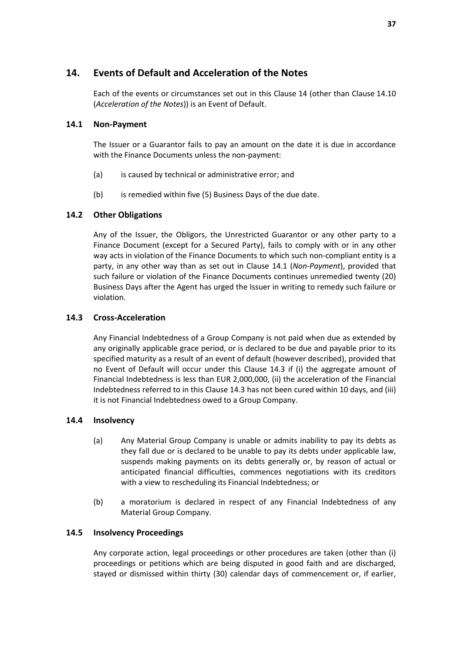# <span id="page-38-0"></span>**14. Events of Default and Acceleration of the Notes**

Each of the events or circumstances set out in this Clause [14](#page-38-0) (other than Clause [14.10](#page-39-1) (*[Acceleration of the Notes](#page-39-1)*)) is an Event of Default.

### <span id="page-38-1"></span>**14.1 Non-Payment**

The Issuer or a Guarantor fails to pay an amount on the date it is due in accordance with the Finance Documents unless the non-payment:

- (a) is caused by technical or administrative error; and
- (b) is remedied within five (5) Business Days of the due date.

### <span id="page-38-3"></span>**14.2 Other Obligations**

Any of the Issuer, the Obligors, the Unrestricted Guarantor or any other party to a Finance Document (except for a Secured Party), fails to comply with or in any other way acts in violation of the Finance Documents to which such non-compliant entity is a party, in any other way than as set out in Clause [14.1](#page-38-1) (*[Non-Payment](#page-38-1)*), provided that such failure or violation of the Finance Documents continues unremedied twenty (20) Business Days after the Agent has urged the Issuer in writing to remedy such failure or violation.

#### <span id="page-38-2"></span>**14.3 Cross-Acceleration**

Any Financial Indebtedness of a Group Company is not paid when due as extended by any originally applicable grace period, or is declared to be due and payable prior to its specified maturity as a result of an event of default (however described), provided that no Event of Default will occur under this Clause [14.3](#page-38-2) if (i) the aggregate amount of Financial Indebtedness is less than EUR 2,000,000, (ii) the acceleration of the Financial Indebtedness referred to in this Clause [14.3](#page-38-2) has not been cured within 10 days, and (iii) it is not Financial Indebtedness owed to a Group Company.

#### <span id="page-38-4"></span>**14.4 Insolvency**

- (a) Any Material Group Company is unable or admits inability to pay its debts as they fall due or is declared to be unable to pay its debts under applicable law, suspends making payments on its debts generally or, by reason of actual or anticipated financial difficulties, commences negotiations with its creditors with a view to rescheduling its Financial Indebtedness; or
- (b) a moratorium is declared in respect of any Financial Indebtedness of any Material Group Company.

#### **14.5 Insolvency Proceedings**

Any corporate action, legal proceedings or other procedures are taken (other than (i) proceedings or petitions which are being disputed in good faith and are discharged, stayed or dismissed within thirty (30) calendar days of commencement or, if earlier,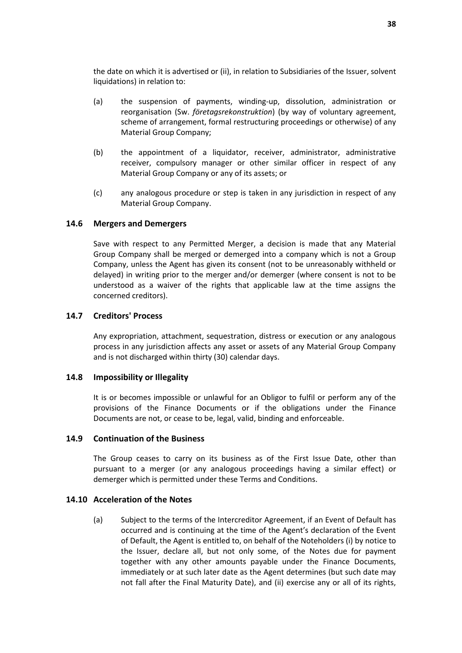the date on which it is advertised or (ii), in relation to Subsidiaries of the Issuer, solvent liquidations) in relation to:

- (a) the suspension of payments, winding-up, dissolution, administration or reorganisation (Sw. *företagsrekonstruktion*) (by way of voluntary agreement, scheme of arrangement, formal restructuring proceedings or otherwise) of any Material Group Company;
- (b) the appointment of a liquidator, receiver, administrator, administrative receiver, compulsory manager or other similar officer in respect of any Material Group Company or any of its assets; or
- (c) any analogous procedure or step is taken in any jurisdiction in respect of any Material Group Company.

#### **14.6 Mergers and Demergers**

Save with respect to any Permitted Merger, a decision is made that any Material Group Company shall be merged or demerged into a company which is not a Group Company, unless the Agent has given its consent (not to be unreasonably withheld or delayed) in writing prior to the merger and/or demerger (where consent is not to be understood as a waiver of the rights that applicable law at the time assigns the concerned creditors).

#### **14.7 Creditors' Process**

Any expropriation, attachment, sequestration, distress or execution or any analogous process in any jurisdiction affects any asset or assets of any Material Group Company and is not discharged within thirty (30) calendar days.

#### **14.8 Impossibility or Illegality**

It is or becomes impossible or unlawful for an Obligor to fulfil or perform any of the provisions of the Finance Documents or if the obligations under the Finance Documents are not, or cease to be, legal, valid, binding and enforceable.

#### <span id="page-39-0"></span>**14.9 Continuation of the Business**

The Group ceases to carry on its business as of the First Issue Date, other than pursuant to a merger (or any analogous proceedings having a similar effect) or demerger which is permitted under these Terms and Conditions.

#### <span id="page-39-2"></span><span id="page-39-1"></span>**14.10 Acceleration of the Notes**

(a) Subject to the terms of the Intercreditor Agreement, if an Event of Default has occurred and is continuing at the time of the Agent's declaration of the Event of Default, the Agent is entitled to, on behalf of the Noteholders (i) by notice to the Issuer, declare all, but not only some, of the Notes due for payment together with any other amounts payable under the Finance Documents, immediately or at such later date as the Agent determines (but such date may not fall after the Final Maturity Date), and (ii) exercise any or all of its rights,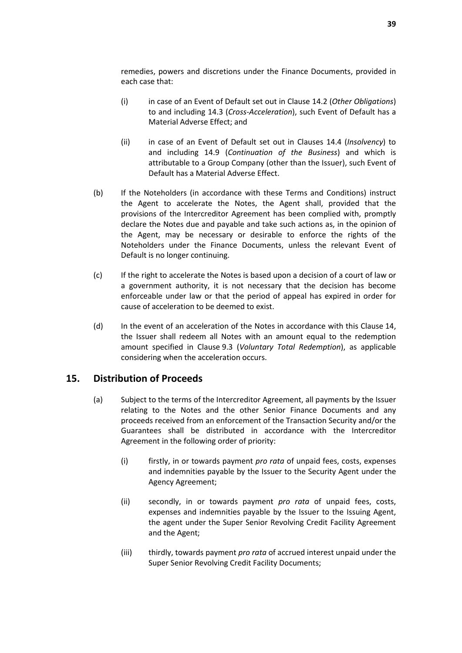remedies, powers and discretions under the Finance Documents, provided in each case that:

- (i) in case of an Event of Default set out in Clause [14.2](#page-38-3) (*[Other Obligations](#page-38-3)*) to and including [14.3](#page-38-2) (*[Cross-Acceleration](#page-38-2)*), such Event of Default has a Material Adverse Effect; and
- (ii) in case of an Event of Default set out in Clauses [14.4](#page-38-4) (*[Insolvency](#page-38-4)*) to and including [14.9](#page-39-0) (*[Continuation of the Business](#page-39-0)*) and which is attributable to a Group Company (other than the Issuer), such Event of Default has a Material Adverse Effect.
- (b) If the Noteholders (in accordance with these Terms and Conditions) instruct the Agent to accelerate the Notes, the Agent shall, provided that the provisions of the Intercreditor Agreement has been complied with, promptly declare the Notes due and payable and take such actions as, in the opinion of the Agent, may be necessary or desirable to enforce the rights of the Noteholders under the Finance Documents, unless the relevant Event of Default is no longer continuing.
- (c) If the right to accelerate the Notes is based upon a decision of a court of law or a government authority, it is not necessary that the decision has become enforceable under law or that the period of appeal has expired in order for cause of acceleration to be deemed to exist.
- (d) In the event of an acceleration of the Notes in accordance with this Clause [14,](#page-38-0) the Issuer shall redeem all Notes with an amount equal to the redemption amount specified in Clause [9.3](#page-25-2) (*[Voluntary Total Redemption](#page-25-2)*), as applicable considering when the acceleration occurs.

# <span id="page-40-0"></span>**15. Distribution of Proceeds**

- (a) Subject to the terms of the Intercreditor Agreement, all payments by the Issuer relating to the Notes and the other Senior Finance Documents and any proceeds received from an enforcement of the Transaction Security and/or the Guarantees shall be distributed in accordance with the Intercreditor Agreement in the following order of priority:
	- (i) firstly, in or towards payment *pro rata* of unpaid fees, costs, expenses and indemnities payable by the Issuer to the Security Agent under the Agency Agreement;
	- (ii) secondly, in or towards payment *pro rata* of unpaid fees, costs, expenses and indemnities payable by the Issuer to the Issuing Agent, the agent under the Super Senior Revolving Credit Facility Agreement and the Agent;
	- (iii) thirdly, towards payment *pro rata* of accrued interest unpaid under the Super Senior Revolving Credit Facility Documents;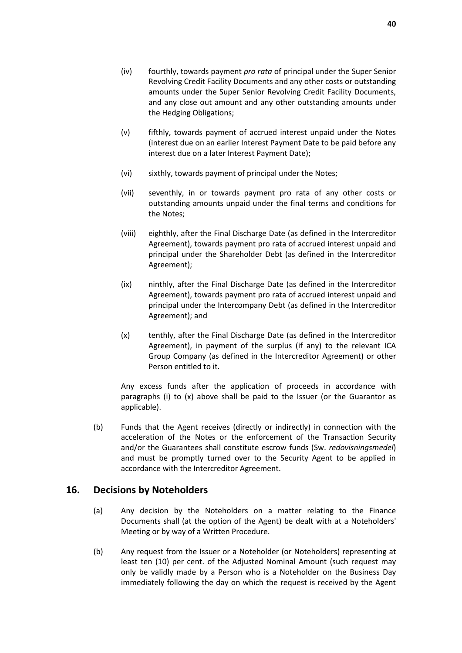- (iv) fourthly, towards payment *pro rata* of principal under the Super Senior Revolving Credit Facility Documents and any other costs or outstanding amounts under the Super Senior Revolving Credit Facility Documents, and any close out amount and any other outstanding amounts under the Hedging Obligations;
- (v) fifthly, towards payment of accrued interest unpaid under the Notes (interest due on an earlier Interest Payment Date to be paid before any interest due on a later Interest Payment Date);
- (vi) sixthly, towards payment of principal under the Notes;
- (vii) seventhly, in or towards payment pro rata of any other costs or outstanding amounts unpaid under the final terms and conditions for the Notes;
- (viii) eighthly, after the Final Discharge Date (as defined in the Intercreditor Agreement), towards payment pro rata of accrued interest unpaid and principal under the Shareholder Debt (as defined in the Intercreditor Agreement);
- (ix) ninthly, after the Final Discharge Date (as defined in the Intercreditor Agreement), towards payment pro rata of accrued interest unpaid and principal under the Intercompany Debt (as defined in the Intercreditor Agreement); and
- (x) tenthly, after the Final Discharge Date (as defined in the Intercreditor Agreement), in payment of the surplus (if any) to the relevant ICA Group Company (as defined in the Intercreditor Agreement) or other Person entitled to it.

Any excess funds after the application of proceeds in accordance with paragraphs (i) to (x) above shall be paid to the Issuer (or the Guarantor as applicable).

(b) Funds that the Agent receives (directly or indirectly) in connection with the acceleration of the Notes or the enforcement of the Transaction Security and/or the Guarantees shall constitute escrow funds (Sw. *redovisningsmedel*) and must be promptly turned over to the Security Agent to be applied in accordance with the Intercreditor Agreement.

### <span id="page-41-0"></span>**16. Decisions by Noteholders**

- (a) Any decision by the Noteholders on a matter relating to the Finance Documents shall (at the option of the Agent) be dealt with at a Noteholders' Meeting or by way of a Written Procedure.
- (b) Any request from the Issuer or a Noteholder (or Noteholders) representing at least ten (10) per cent. of the Adjusted Nominal Amount (such request may only be validly made by a Person who is a Noteholder on the Business Day immediately following the day on which the request is received by the Agent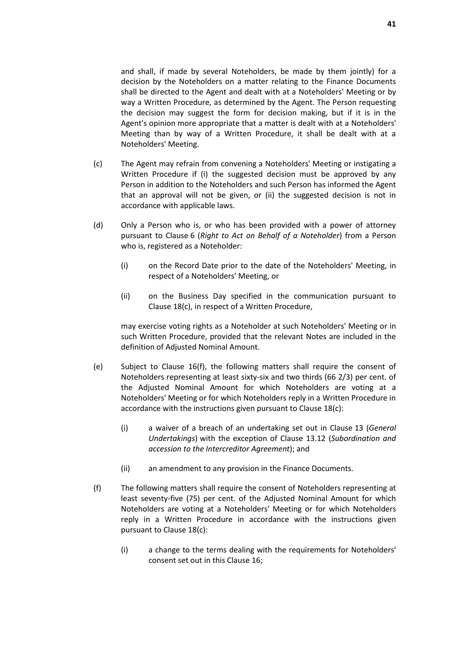and shall, if made by several Noteholders, be made by them jointly) for a decision by the Noteholders on a matter relating to the Finance Documents shall be directed to the Agent and dealt with at a Noteholders' Meeting or by way a Written Procedure, as determined by the Agent. The Person requesting the decision may suggest the form for decision making, but if it is in the Agent's opinion more appropriate that a matter is dealt with at a Noteholders' Meeting than by way of a Written Procedure, it shall be dealt with at a Noteholders' Meeting.

- (c) The Agent may refrain from convening a Noteholders' Meeting or instigating a Written Procedure if (i) the suggested decision must be approved by any Person in addition to the Noteholders and such Person has informed the Agent that an approval will not be given, or (ii) the suggested decision is not in accordance with applicable laws.
- (d) Only a Person who is, or who has been provided with a power of attorney pursuant to Clause [6](#page-24-0) (*[Right to Act on Behalf of a Noteholder](#page-24-0)*) from a Person who is, registered as a Noteholder:
	- (i) on the Record Date prior to the date of the Noteholders' Meeting, in respect of a Noteholders' Meeting, or
	- (ii) on the Business Day specified in the communication pursuant to Clause [18\(c\),](#page-45-1) in respect of a Written Procedure,

may exercise voting rights as a Noteholder at such Noteholders' Meeting or in such Written Procedure, provided that the relevant Notes are included in the definition of Adjusted Nominal Amount.

- <span id="page-42-1"></span>(e) Subject to Clause [16\(f\),](#page-42-0) the following matters shall require the consent of Noteholders representing at least sixty-six and two thirds (66 2/3) per cent. of the Adjusted Nominal Amount for which Noteholders are voting at a Noteholders' Meeting or for which Noteholders reply in a Written Procedure in accordance with the instructions given pursuant to Clause [18\(c\):](#page-45-1)
	- (i) a waiver of a breach of an undertaking set out in Clause [13](#page-34-0) (*[General](#page-34-0)  [Undertakings](#page-34-0)*) with the exception of Clause [13.12](#page-37-1) (*[Subordination and](#page-37-1)  [accession to the Intercreditor Agreement](#page-37-1)*); and
	- (ii) an amendment to any provision in the Finance Documents.
- <span id="page-42-0"></span>(f) The following matters shall require the consent of Noteholders representing at least seventy-five (75) per cent. of the Adjusted Nominal Amount for which Noteholders are voting at a Noteholders' Meeting or for which Noteholders reply in a Written Procedure in accordance with the instructions given pursuant to Clause [18\(c\):](#page-45-1)
	- (i) a change to the terms dealing with the requirements for Noteholders' consent set out in this Clause [16;](#page-41-0)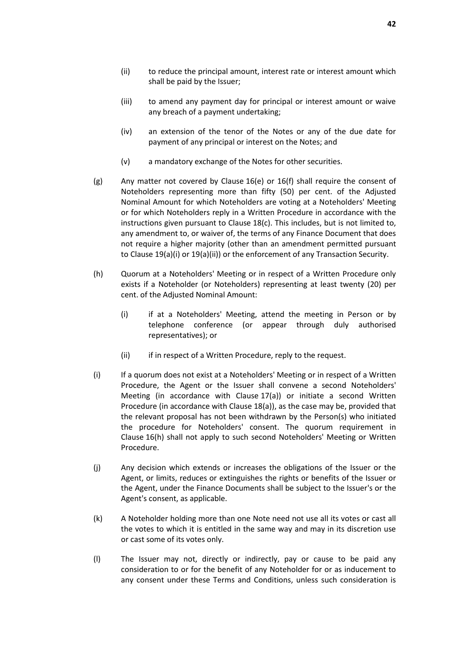- (ii) to reduce the principal amount, interest rate or interest amount which shall be paid by the Issuer;
- (iii) to amend any payment day for principal or interest amount or waive any breach of a payment undertaking;
- (iv) an extension of the tenor of the Notes or any of the due date for payment of any principal or interest on the Notes; and
- (v) a mandatory exchange of the Notes for other securities.
- <span id="page-43-1"></span>(g) Any matter not covered by Clause [16\(e\)](#page-42-1) or [16\(f\)](#page-42-0) shall require the consent of Noteholders representing more than fifty (50) per cent. of the Adjusted Nominal Amount for which Noteholders are voting at a Noteholders' Meeting or for which Noteholders reply in a Written Procedure in accordance with the instructions given pursuant to Clause [18\(c\).](#page-45-1) This includes, but is not limited to, any amendment to, or waiver of, the terms of any Finance Document that does not require a higher majority (other than an amendment permitted pursuant to Clause [19\(a\)\(i\)](#page-46-2) o[r 19\(a\)\(ii\)\)](#page-46-3) or the enforcement of any Transaction Security.
- <span id="page-43-0"></span>(h) Quorum at a Noteholders' Meeting or in respect of a Written Procedure only exists if a Noteholder (or Noteholders) representing at least twenty (20) per cent. of the Adjusted Nominal Amount:
	- (i) if at a Noteholders' Meeting, attend the meeting in Person or by telephone conference (or appear through duly authorised representatives); or
	- (ii) if in respect of a Written Procedure, reply to the request.
- (i) If a quorum does not exist at a Noteholders' Meeting or in respect of a Written Procedure, the Agent or the Issuer shall convene a second Noteholders' Meeting (in accordance with Clause [17\(a\)\)](#page-44-1) or initiate a second Written Procedure (in accordance with Clause [18\(a\)\)](#page-45-2), as the case may be, provided that the relevant proposal has not been withdrawn by the Person(s) who initiated the procedure for Noteholders' consent. The quorum requirement in Clause [16\(h\)](#page-43-0) shall not apply to such second Noteholders' Meeting or Written Procedure.
- (j) Any decision which extends or increases the obligations of the Issuer or the Agent, or limits, reduces or extinguishes the rights or benefits of the Issuer or the Agent, under the Finance Documents shall be subject to the Issuer's or the Agent's consent, as applicable.
- (k) A Noteholder holding more than one Note need not use all its votes or cast all the votes to which it is entitled in the same way and may in its discretion use or cast some of its votes only.
- (l) The Issuer may not, directly or indirectly, pay or cause to be paid any consideration to or for the benefit of any Noteholder for or as inducement to any consent under these Terms and Conditions, unless such consideration is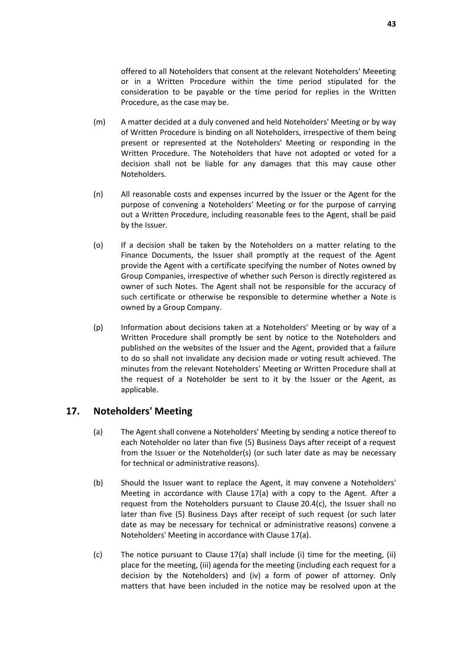offered to all Noteholders that consent at the relevant Noteholders' Meeeting or in a Written Procedure within the time period stipulated for the consideration to be payable or the time period for replies in the Written Procedure, as the case may be.

- (m) A matter decided at a duly convened and held Noteholders' Meeting or by way of Written Procedure is binding on all Noteholders, irrespective of them being present or represented at the Noteholders' Meeting or responding in the Written Procedure. The Noteholders that have not adopted or voted for a decision shall not be liable for any damages that this may cause other Noteholders.
- (n) All reasonable costs and expenses incurred by the Issuer or the Agent for the purpose of convening a Noteholders' Meeting or for the purpose of carrying out a Written Procedure, including reasonable fees to the Agent, shall be paid by the Issuer.
- (o) If a decision shall be taken by the Noteholders on a matter relating to the Finance Documents, the Issuer shall promptly at the request of the Agent provide the Agent with a certificate specifying the number of Notes owned by Group Companies, irrespective of whether such Person is directly registered as owner of such Notes. The Agent shall not be responsible for the accuracy of such certificate or otherwise be responsible to determine whether a Note is owned by a Group Company.
- (p) Information about decisions taken at a Noteholders' Meeting or by way of a Written Procedure shall promptly be sent by notice to the Noteholders and published on the websites of the Issuer and the Agent, provided that a failure to do so shall not invalidate any decision made or voting result achieved. The minutes from the relevant Noteholders' Meeting or Written Procedure shall at the request of a Noteholder be sent to it by the Issuer or the Agent, as applicable.

# <span id="page-44-1"></span><span id="page-44-0"></span>**17. Noteholders' Meeting**

- (a) The Agent shall convene a Noteholders' Meeting by sending a notice thereof to each Noteholder no later than five (5) Business Days after receipt of a request from the Issuer or the Noteholder(s) (or such later date as may be necessary for technical or administrative reasons).
- (b) Should the Issuer want to replace the Agent, it may convene a Noteholders' Meeting in accordance with Clause [17\(a\)](#page-44-1) with a copy to the Agent. After a request from the Noteholders pursuant to Clause [20.4\(c\),](#page-49-0) the Issuer shall no later than five (5) Business Days after receipt of such request (or such later date as may be necessary for technical or administrative reasons) convene a Noteholders' Meeting in accordance with Clause [17\(a\).](#page-44-1)
- (c) The notice pursuant to Clause [17\(a\)](#page-44-1) shall include (i) time for the meeting, (ii) place for the meeting, (iii) agenda for the meeting (including each request for a decision by the Noteholders) and (iv) a form of power of attorney. Only matters that have been included in the notice may be resolved upon at the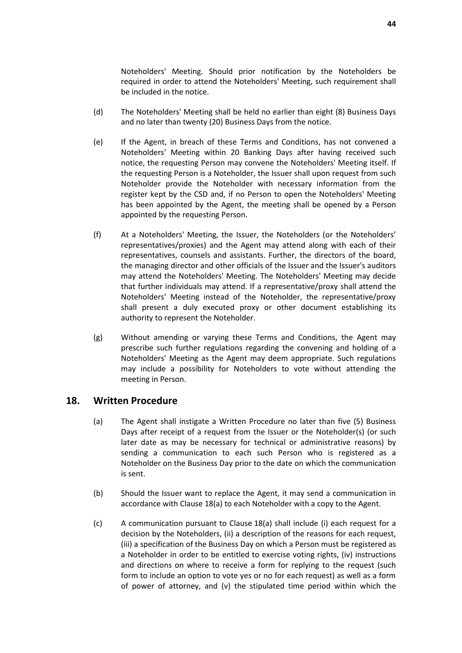Noteholders' Meeting. Should prior notification by the Noteholders be required in order to attend the Noteholders' Meeting, such requirement shall be included in the notice.

- (d) The Noteholders' Meeting shall be held no earlier than eight (8) Business Days and no later than twenty (20) Business Days from the notice.
- (e) If the Agent, in breach of these Terms and Conditions, has not convened a Noteholders' Meeting within 20 Banking Days after having received such notice, the requesting Person may convene the Noteholders' Meeting itself. If the requesting Person is a Noteholder, the Issuer shall upon request from such Noteholder provide the Noteholder with necessary information from the register kept by the CSD and, if no Person to open the Noteholders' Meeting has been appointed by the Agent, the meeting shall be opened by a Person appointed by the requesting Person.
- (f) At a Noteholders' Meeting, the Issuer, the Noteholders (or the Noteholders' representatives/proxies) and the Agent may attend along with each of their representatives, counsels and assistants. Further, the directors of the board, the managing director and other officials of the Issuer and the Issuer's auditors may attend the Noteholders' Meeting. The Noteholders' Meeting may decide that further individuals may attend. If a representative/proxy shall attend the Noteholders' Meeting instead of the Noteholder, the representative/proxy shall present a duly executed proxy or other document establishing its authority to represent the Noteholder.
- (g) Without amending or varying these Terms and Conditions, the Agent may prescribe such further regulations regarding the convening and holding of a Noteholders' Meeting as the Agent may deem appropriate. Such regulations may include a possibility for Noteholders to vote without attending the meeting in Person.

### <span id="page-45-2"></span><span id="page-45-0"></span>**18. Written Procedure**

- (a) The Agent shall instigate a Written Procedure no later than five (5) Business Days after receipt of a request from the Issuer or the Noteholder(s) (or such later date as may be necessary for technical or administrative reasons) by sending a communication to each such Person who is registered as a Noteholder on the Business Day prior to the date on which the communication is sent.
- (b) Should the Issuer want to replace the Agent, it may send a communication in accordance with Clause [18\(a\)](#page-45-2) to each Noteholder with a copy to the Agent.
- <span id="page-45-1"></span>(c) A communication pursuant to Clause [18\(a\)](#page-45-2) shall include (i) each request for a decision by the Noteholders, (ii) a description of the reasons for each request, (iii) a specification of the Business Day on which a Person must be registered as a Noteholder in order to be entitled to exercise voting rights, (iv) instructions and directions on where to receive a form for replying to the request (such form to include an option to vote yes or no for each request) as well as a form of power of attorney, and (v) the stipulated time period within which the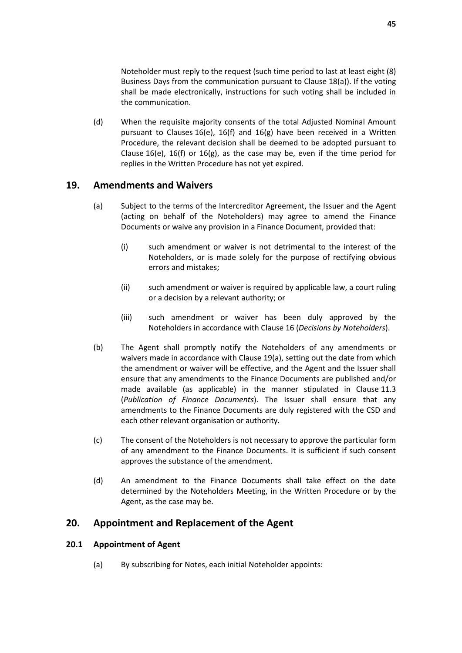Noteholder must reply to the request (such time period to last at least eight (8) Business Days from the communication pursuant to Clause [18\(a\)\)](#page-45-2). If the voting shall be made electronically, instructions for such voting shall be included in the communication.

(d) When the requisite majority consents of the total Adjusted Nominal Amount pursuant to Clauses [16\(e\),](#page-42-1) [16\(f\)](#page-42-0) and [16\(g\)](#page-43-1) have been received in a Written Procedure, the relevant decision shall be deemed to be adopted pursuant to Clause [16\(e\),](#page-42-1) [16\(f\)](#page-42-0) or [16\(g\),](#page-43-1) as the case may be, even if the time period for replies in the Written Procedure has not yet expired.

# <span id="page-46-4"></span><span id="page-46-0"></span>**19. Amendments and Waivers**

- <span id="page-46-2"></span>(a) Subject to the terms of the Intercreditor Agreement, the Issuer and the Agent (acting on behalf of the Noteholders) may agree to amend the Finance Documents or waive any provision in a Finance Document, provided that:
	- (i) such amendment or waiver is not detrimental to the interest of the Noteholders, or is made solely for the purpose of rectifying obvious errors and mistakes;
	- (ii) such amendment or waiver is required by applicable law, a court ruling or a decision by a relevant authority; or
	- (iii) such amendment or waiver has been duly approved by the Noteholders in accordance with Clause [16](#page-41-0) (*[Decisions by Noteholders](#page-41-0)*).
- <span id="page-46-3"></span>(b) The Agent shall promptly notify the Noteholders of any amendments or waivers made in accordance with Clause [19\(a\),](#page-46-4) setting out the date from which the amendment or waiver will be effective, and the Agent and the Issuer shall ensure that any amendments to the Finance Documents are published and/or made available (as applicable) in the manner stipulated in Clause [11.3](#page-33-2) (*[Publication of Finance Documents](#page-33-2)*). The Issuer shall ensure that any amendments to the Finance Documents are duly registered with the CSD and each other relevant organisation or authority.
- (c) The consent of the Noteholders is not necessary to approve the particular form of any amendment to the Finance Documents. It is sufficient if such consent approves the substance of the amendment.
- (d) An amendment to the Finance Documents shall take effect on the date determined by the Noteholders Meeting, in the Written Procedure or by the Agent, as the case may be.

# <span id="page-46-1"></span>**20. Appointment and Replacement of the Agent**

### **20.1 Appointment of Agent**

(a) By subscribing for Notes, each initial Noteholder appoints: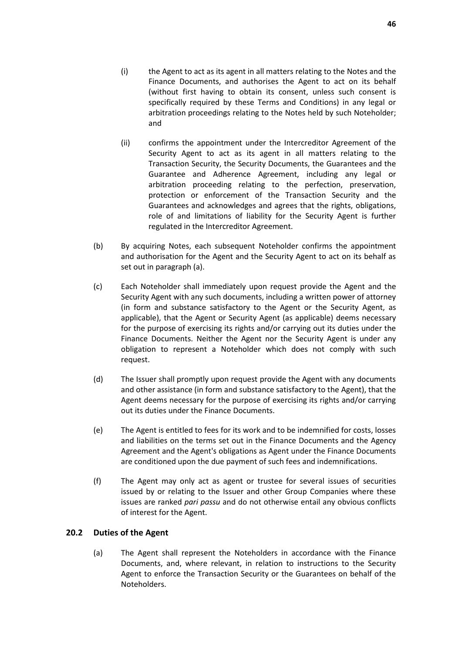- (i) the Agent to act as its agent in all matters relating to the Notes and the Finance Documents, and authorises the Agent to act on its behalf (without first having to obtain its consent, unless such consent is specifically required by these Terms and Conditions) in any legal or arbitration proceedings relating to the Notes held by such Noteholder; and
- (ii) confirms the appointment under the Intercreditor Agreement of the Security Agent to act as its agent in all matters relating to the Transaction Security, the Security Documents, the Guarantees and the Guarantee and Adherence Agreement, including any legal or arbitration proceeding relating to the perfection, preservation, protection or enforcement of the Transaction Security and the Guarantees and acknowledges and agrees that the rights, obligations, role of and limitations of liability for the Security Agent is further regulated in the Intercreditor Agreement.
- (b) By acquiring Notes, each subsequent Noteholder confirms the appointment and authorisation for the Agent and the Security Agent to act on its behalf as set out in paragraph (a).
- (c) Each Noteholder shall immediately upon request provide the Agent and the Security Agent with any such documents, including a written power of attorney (in form and substance satisfactory to the Agent or the Security Agent, as applicable), that the Agent or Security Agent (as applicable) deems necessary for the purpose of exercising its rights and/or carrying out its duties under the Finance Documents. Neither the Agent nor the Security Agent is under any obligation to represent a Noteholder which does not comply with such request.
- (d) The Issuer shall promptly upon request provide the Agent with any documents and other assistance (in form and substance satisfactory to the Agent), that the Agent deems necessary for the purpose of exercising its rights and/or carrying out its duties under the Finance Documents.
- (e) The Agent is entitled to fees for its work and to be indemnified for costs, losses and liabilities on the terms set out in the Finance Documents and the Agency Agreement and the Agent's obligations as Agent under the Finance Documents are conditioned upon the due payment of such fees and indemnifications.
- (f) The Agent may only act as agent or trustee for several issues of securities issued by or relating to the Issuer and other Group Companies where these issues are ranked *pari passu* and do not otherwise entail any obvious conflicts of interest for the Agent.

### **20.2 Duties of the Agent**

(a) The Agent shall represent the Noteholders in accordance with the Finance Documents, and, where relevant, in relation to instructions to the Security Agent to enforce the Transaction Security or the Guarantees on behalf of the Noteholders.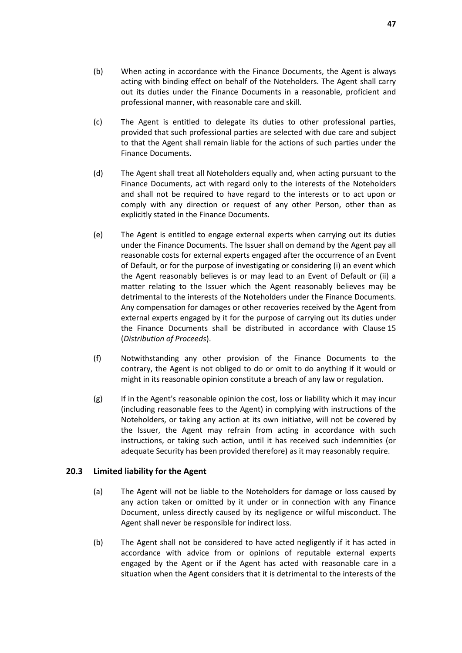- (b) When acting in accordance with the Finance Documents, the Agent is always acting with binding effect on behalf of the Noteholders. The Agent shall carry out its duties under the Finance Documents in a reasonable, proficient and professional manner, with reasonable care and skill.
- (c) The Agent is entitled to delegate its duties to other professional parties, provided that such professional parties are selected with due care and subject to that the Agent shall remain liable for the actions of such parties under the Finance Documents.
- (d) The Agent shall treat all Noteholders equally and, when acting pursuant to the Finance Documents, act with regard only to the interests of the Noteholders and shall not be required to have regard to the interests or to act upon or comply with any direction or request of any other Person, other than as explicitly stated in the Finance Documents.
- (e) The Agent is entitled to engage external experts when carrying out its duties under the Finance Documents. The Issuer shall on demand by the Agent pay all reasonable costs for external experts engaged after the occurrence of an Event of Default, or for the purpose of investigating or considering (i) an event which the Agent reasonably believes is or may lead to an Event of Default or (ii) a matter relating to the Issuer which the Agent reasonably believes may be detrimental to the interests of the Noteholders under the Finance Documents. Any compensation for damages or other recoveries received by the Agent from external experts engaged by it for the purpose of carrying out its duties under the Finance Documents shall be distributed in accordance with Clause [15](#page-40-0) (*[Distribution of Proceeds](#page-40-0)*).
- (f) Notwithstanding any other provision of the Finance Documents to the contrary, the Agent is not obliged to do or omit to do anything if it would or might in its reasonable opinion constitute a breach of any law or regulation.
- (g) If in the Agent's reasonable opinion the cost, loss or liability which it may incur (including reasonable fees to the Agent) in complying with instructions of the Noteholders, or taking any action at its own initiative, will not be covered by the Issuer, the Agent may refrain from acting in accordance with such instructions, or taking such action, until it has received such indemnities (or adequate Security has been provided therefore) as it may reasonably require.

### **20.3 Limited liability for the Agent**

- (a) The Agent will not be liable to the Noteholders for damage or loss caused by any action taken or omitted by it under or in connection with any Finance Document, unless directly caused by its negligence or wilful misconduct. The Agent shall never be responsible for indirect loss.
- (b) The Agent shall not be considered to have acted negligently if it has acted in accordance with advice from or opinions of reputable external experts engaged by the Agent or if the Agent has acted with reasonable care in a situation when the Agent considers that it is detrimental to the interests of the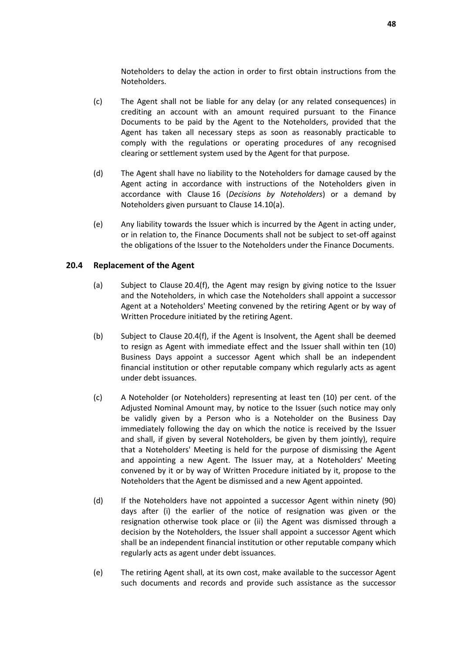Noteholders to delay the action in order to first obtain instructions from the Noteholders.

- (c) The Agent shall not be liable for any delay (or any related consequences) in crediting an account with an amount required pursuant to the Finance Documents to be paid by the Agent to the Noteholders, provided that the Agent has taken all necessary steps as soon as reasonably practicable to comply with the regulations or operating procedures of any recognised clearing or settlement system used by the Agent for that purpose.
- (d) The Agent shall have no liability to the Noteholders for damage caused by the Agent acting in accordance with instructions of the Noteholders given in accordance with Clause [16](#page-41-0) (*[Decisions by Noteholders](#page-41-0)*) or a demand by Noteholders given pursuant to Clause [14.10\(a\).](#page-39-2)
- (e) Any liability towards the Issuer which is incurred by the Agent in acting under, or in relation to, the Finance Documents shall not be subject to set-off against the obligations of the Issuer to the Noteholders under the Finance Documents.

#### <span id="page-49-1"></span>**20.4 Replacement of the Agent**

- (a) Subject to Clause [20.4\(f\),](#page-50-2) the Agent may resign by giving notice to the Issuer and the Noteholders, in which case the Noteholders shall appoint a successor Agent at a Noteholders' Meeting convened by the retiring Agent or by way of Written Procedure initiated by the retiring Agent.
- (b) Subject to Clause [20.4\(f\),](#page-50-2) if the Agent is Insolvent, the Agent shall be deemed to resign as Agent with immediate effect and the Issuer shall within ten (10) Business Days appoint a successor Agent which shall be an independent financial institution or other reputable company which regularly acts as agent under debt issuances.
- <span id="page-49-0"></span>(c) A Noteholder (or Noteholders) representing at least ten (10) per cent. of the Adjusted Nominal Amount may, by notice to the Issuer (such notice may only be validly given by a Person who is a Noteholder on the Business Day immediately following the day on which the notice is received by the Issuer and shall, if given by several Noteholders, be given by them jointly), require that a Noteholders' Meeting is held for the purpose of dismissing the Agent and appointing a new Agent. The Issuer may, at a Noteholders' Meeting convened by it or by way of Written Procedure initiated by it, propose to the Noteholders that the Agent be dismissed and a new Agent appointed.
- (d) If the Noteholders have not appointed a successor Agent within ninety (90) days after (i) the earlier of the notice of resignation was given or the resignation otherwise took place or (ii) the Agent was dismissed through a decision by the Noteholders, the Issuer shall appoint a successor Agent which shall be an independent financial institution or other reputable company which regularly acts as agent under debt issuances.
- (e) The retiring Agent shall, at its own cost, make available to the successor Agent such documents and records and provide such assistance as the successor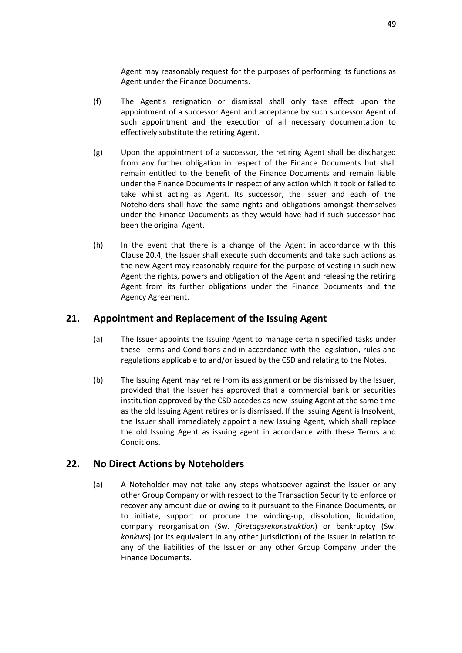Agent may reasonably request for the purposes of performing its functions as Agent under the Finance Documents.

- <span id="page-50-2"></span>(f) The Agent's resignation or dismissal shall only take effect upon the appointment of a successor Agent and acceptance by such successor Agent of such appointment and the execution of all necessary documentation to effectively substitute the retiring Agent.
- (g) Upon the appointment of a successor, the retiring Agent shall be discharged from any further obligation in respect of the Finance Documents but shall remain entitled to the benefit of the Finance Documents and remain liable under the Finance Documents in respect of any action which it took or failed to take whilst acting as Agent. Its successor, the Issuer and each of the Noteholders shall have the same rights and obligations amongst themselves under the Finance Documents as they would have had if such successor had been the original Agent.
- (h) In the event that there is a change of the Agent in accordance with this Clause [20.4,](#page-49-1) the Issuer shall execute such documents and take such actions as the new Agent may reasonably require for the purpose of vesting in such new Agent the rights, powers and obligation of the Agent and releasing the retiring Agent from its further obligations under the Finance Documents and the Agency Agreement.

# <span id="page-50-0"></span>**21. Appointment and Replacement of the Issuing Agent**

- (a) The Issuer appoints the Issuing Agent to manage certain specified tasks under these Terms and Conditions and in accordance with the legislation, rules and regulations applicable to and/or issued by the CSD and relating to the Notes.
- (b) The Issuing Agent may retire from its assignment or be dismissed by the Issuer, provided that the Issuer has approved that a commercial bank or securities institution approved by the CSD accedes as new Issuing Agent at the same time as the old Issuing Agent retires or is dismissed. If the Issuing Agent is Insolvent, the Issuer shall immediately appoint a new Issuing Agent, which shall replace the old Issuing Agent as issuing agent in accordance with these Terms and Conditions.

# <span id="page-50-3"></span><span id="page-50-1"></span>**22. No Direct Actions by Noteholders**

(a) A Noteholder may not take any steps whatsoever against the Issuer or any other Group Company or with respect to the Transaction Security to enforce or recover any amount due or owing to it pursuant to the Finance Documents, or to initiate, support or procure the winding-up, dissolution, liquidation, company reorganisation (Sw. *företagsrekonstruktion*) or bankruptcy (Sw. *konkurs*) (or its equivalent in any other jurisdiction) of the Issuer in relation to any of the liabilities of the Issuer or any other Group Company under the Finance Documents.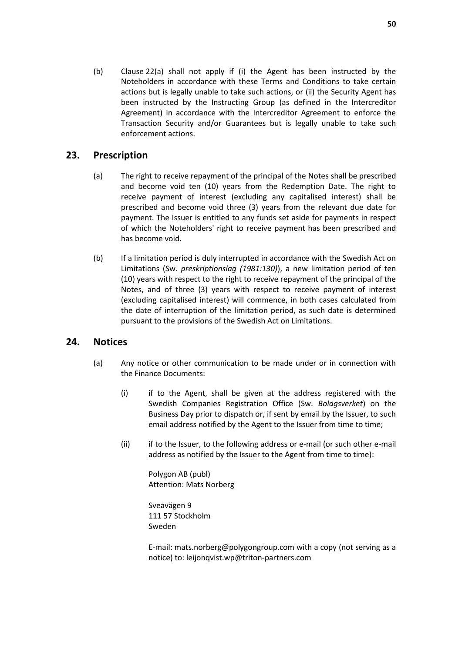(b) Clause [22\(a\)](#page-50-3) shall not apply if (i) the Agent has been instructed by the Noteholders in accordance with these Terms and Conditions to take certain actions but is legally unable to take such actions, or (ii) the Security Agent has been instructed by the Instructing Group (as defined in the Intercreditor Agreement) in accordance with the Intercreditor Agreement to enforce the Transaction Security and/or Guarantees but is legally unable to take such enforcement actions.

# <span id="page-51-0"></span>**23. Prescription**

- (a) The right to receive repayment of the principal of the Notes shall be prescribed and become void ten (10) years from the Redemption Date. The right to receive payment of interest (excluding any capitalised interest) shall be prescribed and become void three (3) years from the relevant due date for payment. The Issuer is entitled to any funds set aside for payments in respect of which the Noteholders' right to receive payment has been prescribed and has become void.
- (b) If a limitation period is duly interrupted in accordance with the Swedish Act on Limitations (Sw. *preskriptionslag (1981:130)*), a new limitation period of ten (10) years with respect to the right to receive repayment of the principal of the Notes, and of three (3) years with respect to receive payment of interest (excluding capitalised interest) will commence, in both cases calculated from the date of interruption of the limitation period, as such date is determined pursuant to the provisions of the Swedish Act on Limitations.

# <span id="page-51-2"></span><span id="page-51-1"></span>**24. Notices**

- (a) Any notice or other communication to be made under or in connection with the Finance Documents:
	- (i) if to the Agent, shall be given at the address registered with the Swedish Companies Registration Office (Sw. *Bolagsverket*) on the Business Day prior to dispatch or, if sent by email by the Issuer, to such email address notified by the Agent to the Issuer from time to time;
	- (ii) if to the Issuer, to the following address or e-mail (or such other e-mail address as notified by the Issuer to the Agent from time to time):

Polygon AB (publ) Attention: Mats Norberg

Sveavägen 9 111 57 Stockholm Sweden

E-mail: mats.norberg@polygongroup.com with a copy (not serving as a notice) to: leijonqvist.wp@triton-partners.com